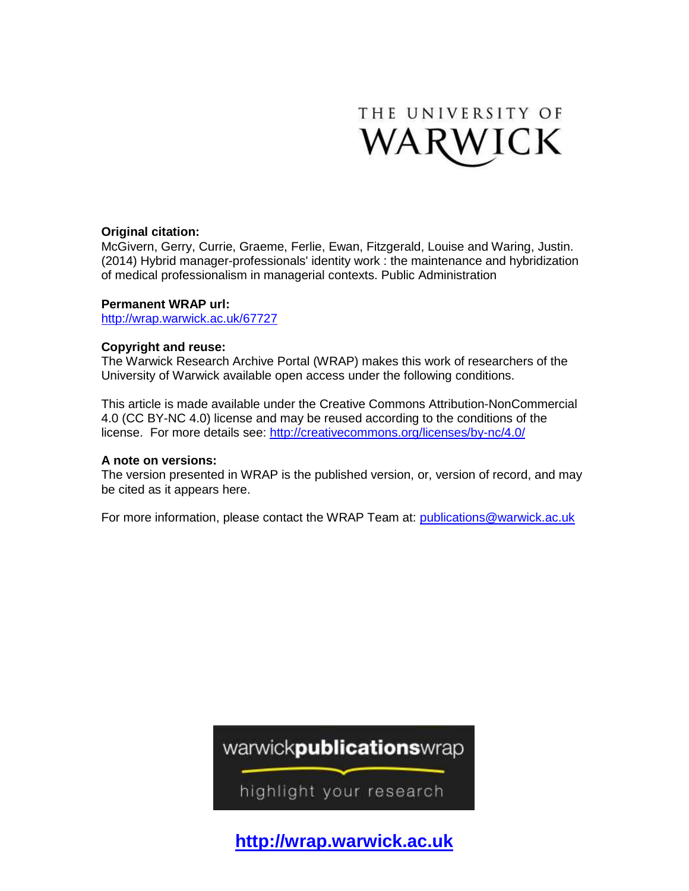

## **Original citation:**

McGivern, Gerry, Currie, Graeme, Ferlie, Ewan, Fitzgerald, Louise and Waring, Justin. (2014) Hybrid manager-professionals' identity work : the maintenance and hybridization of medical professionalism in managerial contexts. Public Administration

### **Permanent WRAP url:**

<http://wrap.warwick.ac.uk/67727>

### **Copyright and reuse:**

The Warwick Research Archive Portal (WRAP) makes this work of researchers of the University of Warwick available open access under the following conditions.

This article is made available under the Creative Commons Attribution-NonCommercial 4.0 (CC BY-NC 4.0) license and may be reused according to the conditions of the license. For more details see:<http://creativecommons.org/licenses/by-nc/4.0/>

### **A note on versions:**

The version presented in WRAP is the published version, or, version of record, and may be cited as it appears here.

For more information, please contact the WRAP Team at: [publications@warwick.ac.uk](mailto:publications@warwick.ac.uk)



highlight your research

**[http://wrap.warwick.ac.uk](http://wrap.warwick.ac.uk/)**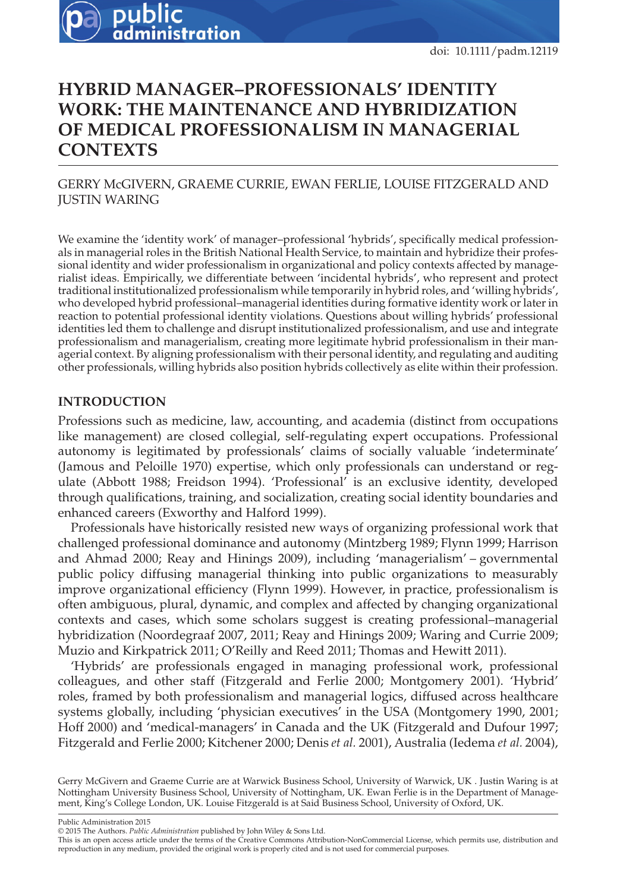# **HYBRID MANAGER–PROFESSIONALS' IDENTITY WORK: THE MAINTENANCE AND HYBRIDIZATION OF MEDICAL PROFESSIONALISM IN MANAGERIAL CONTEXTS**

### GERRY McGIVERN, GRAEME CURRIE, EWAN FERLIE, LOUISE FITZGERALD AND JUSTIN WARING

We examine the 'identity work' of manager–professional 'hybrids', specifically medical professionals in managerial roles in the British National Health Service, to maintain and hybridize their professional identity and wider professionalism in organizational and policy contexts affected by managerialist ideas. Empirically, we differentiate between 'incidental hybrids', who represent and protect traditional institutionalized professionalism while temporarily in hybrid roles, and 'willing hybrids', who developed hybrid professional–managerial identities during formative identity work or later in reaction to potential professional identity violations. Questions about willing hybrids' professional identities led them to challenge and disrupt institutionalized professionalism, and use and integrate professionalism and managerialism, creating more legitimate hybrid professionalism in their managerial context. By aligning professionalism with their personal identity, and regulating and auditing other professionals, willing hybrids also position hybrids collectively as elite within their profession.

#### **INTRODUCTION**

Professions such as medicine, law, accounting, and academia (distinct from occupations like management) are closed collegial, self-regulating expert occupations. Professional autonomy is legitimated by professionals' claims of socially valuable 'indeterminate' (Jamous and Peloille 1970) expertise, which only professionals can understand or regulate (Abbott 1988; Freidson 1994). 'Professional' is an exclusive identity, developed through qualifications, training, and socialization, creating social identity boundaries and enhanced careers (Exworthy and Halford 1999).

Professionals have historically resisted new ways of organizing professional work that challenged professional dominance and autonomy (Mintzberg 1989; Flynn 1999; Harrison and Ahmad 2000; Reay and Hinings 2009), including 'managerialism' – governmental public policy diffusing managerial thinking into public organizations to measurably improve organizational efficiency (Flynn 1999). However, in practice, professionalism is often ambiguous, plural, dynamic, and complex and affected by changing organizational contexts and cases, which some scholars suggest is creating professional–managerial hybridization (Noordegraaf 2007, 2011; Reay and Hinings 2009; Waring and Currie 2009; Muzio and Kirkpatrick 2011; O'Reilly and Reed 2011; Thomas and Hewitt 2011).

'Hybrids' are professionals engaged in managing professional work, professional colleagues, and other staff (Fitzgerald and Ferlie 2000; Montgomery 2001). 'Hybrid' roles, framed by both professionalism and managerial logics, diffused across healthcare systems globally, including 'physician executives' in the USA (Montgomery 1990, 2001; Hoff 2000) and 'medical-managers' in Canada and the UK (Fitzgerald and Dufour 1997; Fitzgerald and Ferlie 2000; Kitchener 2000; Denis *et al.* 2001), Australia (Iedema *et al.* 2004),

Gerry McGivern and Graeme Currie are at Warwick Business School, University of Warwick, UK . Justin Waring is at Nottingham University Business School, University of Nottingham, UK. Ewan Ferlie is in the Department of Management, King's College London, UK. Louise Fitzgerald is at Said Business School, University of Oxford, UK.

Public Administration 2015

This is an open access article under the terms of the Creative Commons Attribution-NonCommercial License, which permits use, distribution and reproduction in any medium, provided the original work is properly cited and is not used for commercial purposes.

<sup>© 2015</sup> The Authors. *Public Administration* published by John Wiley & Sons Ltd.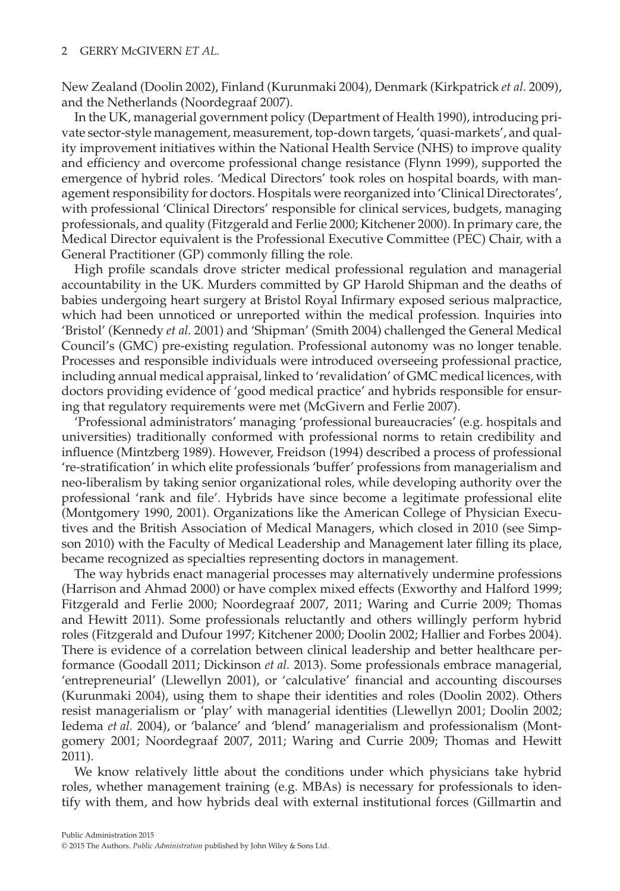#### 2 GERRY McGIVERN *ET AL.*

New Zealand (Doolin 2002), Finland (Kurunmaki 2004), Denmark (Kirkpatrick *et al.* 2009), and the Netherlands (Noordegraaf 2007).

In the UK, managerial government policy (Department of Health 1990), introducing private sector-style management, measurement, top-down targets, 'quasi-markets', and quality improvement initiatives within the National Health Service (NHS) to improve quality and efficiency and overcome professional change resistance (Flynn 1999), supported the emergence of hybrid roles. 'Medical Directors' took roles on hospital boards, with management responsibility for doctors. Hospitals were reorganized into 'Clinical Directorates', with professional 'Clinical Directors' responsible for clinical services, budgets, managing professionals, and quality (Fitzgerald and Ferlie 2000; Kitchener 2000). In primary care, the Medical Director equivalent is the Professional Executive Committee (PEC) Chair, with a General Practitioner (GP) commonly filling the role.

High profile scandals drove stricter medical professional regulation and managerial accountability in the UK. Murders committed by GP Harold Shipman and the deaths of babies undergoing heart surgery at Bristol Royal Infirmary exposed serious malpractice, which had been unnoticed or unreported within the medical profession. Inquiries into 'Bristol' (Kennedy *et al.* 2001) and 'Shipman' (Smith 2004) challenged the General Medical Council's (GMC) pre-existing regulation. Professional autonomy was no longer tenable. Processes and responsible individuals were introduced overseeing professional practice, including annual medical appraisal, linked to 'revalidation' of GMC medical licences, with doctors providing evidence of 'good medical practice' and hybrids responsible for ensuring that regulatory requirements were met (McGivern and Ferlie 2007).

'Professional administrators' managing 'professional bureaucracies' (e.g. hospitals and universities) traditionally conformed with professional norms to retain credibility and influence (Mintzberg 1989). However, Freidson (1994) described a process of professional 're-stratification' in which elite professionals 'buffer' professions from managerialism and neo-liberalism by taking senior organizational roles, while developing authority over the professional 'rank and file'. Hybrids have since become a legitimate professional elite (Montgomery 1990, 2001). Organizations like the American College of Physician Executives and the British Association of Medical Managers, which closed in 2010 (see Simpson 2010) with the Faculty of Medical Leadership and Management later filling its place, became recognized as specialties representing doctors in management.

The way hybrids enact managerial processes may alternatively undermine professions (Harrison and Ahmad 2000) or have complex mixed effects (Exworthy and Halford 1999; Fitzgerald and Ferlie 2000; Noordegraaf 2007, 2011; Waring and Currie 2009; Thomas and Hewitt 2011). Some professionals reluctantly and others willingly perform hybrid roles (Fitzgerald and Dufour 1997; Kitchener 2000; Doolin 2002; Hallier and Forbes 2004). There is evidence of a correlation between clinical leadership and better healthcare performance (Goodall 2011; Dickinson *et al.* 2013). Some professionals embrace managerial, 'entrepreneurial' (Llewellyn 2001), or 'calculative' financial and accounting discourses (Kurunmaki 2004), using them to shape their identities and roles (Doolin 2002). Others resist managerialism or 'play' with managerial identities (Llewellyn 2001; Doolin 2002; Iedema *et al.* 2004), or 'balance' and 'blend' managerialism and professionalism (Montgomery 2001; Noordegraaf 2007, 2011; Waring and Currie 2009; Thomas and Hewitt 2011).

We know relatively little about the conditions under which physicians take hybrid roles, whether management training (e.g. MBAs) is necessary for professionals to identify with them, and how hybrids deal with external institutional forces (Gillmartin and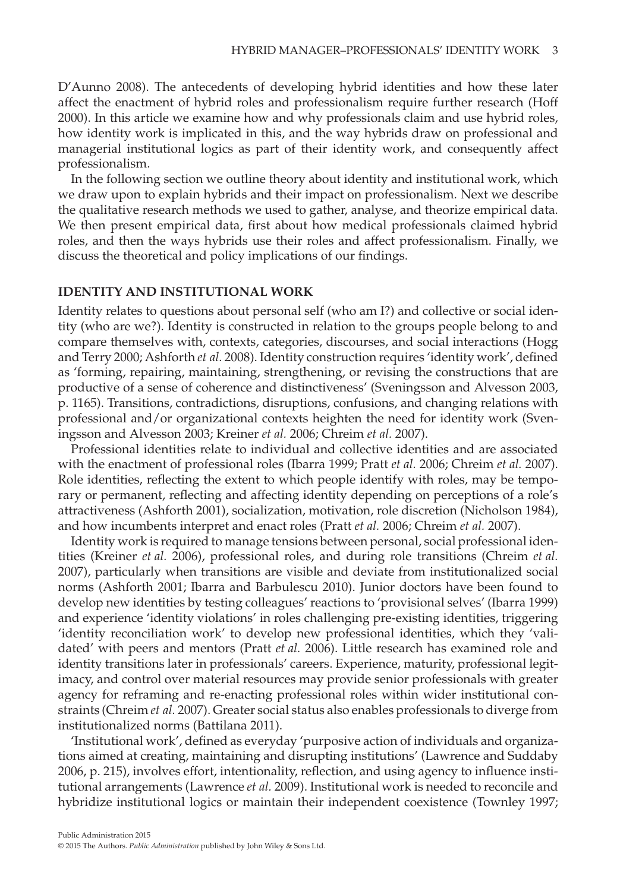D'Aunno 2008). The antecedents of developing hybrid identities and how these later affect the enactment of hybrid roles and professionalism require further research (Hoff 2000). In this article we examine how and why professionals claim and use hybrid roles, how identity work is implicated in this, and the way hybrids draw on professional and managerial institutional logics as part of their identity work, and consequently affect professionalism.

In the following section we outline theory about identity and institutional work, which we draw upon to explain hybrids and their impact on professionalism. Next we describe the qualitative research methods we used to gather, analyse, and theorize empirical data. We then present empirical data, first about how medical professionals claimed hybrid roles, and then the ways hybrids use their roles and affect professionalism. Finally, we discuss the theoretical and policy implications of our findings.

#### **IDENTITY AND INSTITUTIONAL WORK**

Identity relates to questions about personal self (who am I?) and collective or social identity (who are we?). Identity is constructed in relation to the groups people belong to and compare themselves with, contexts, categories, discourses, and social interactions (Hogg and Terry 2000; Ashforth *et al.* 2008). Identity construction requires 'identity work', defined as 'forming, repairing, maintaining, strengthening, or revising the constructions that are productive of a sense of coherence and distinctiveness' (Sveningsson and Alvesson 2003, p. 1165). Transitions, contradictions, disruptions, confusions, and changing relations with professional and/or organizational contexts heighten the need for identity work (Sveningsson and Alvesson 2003; Kreiner *et al.* 2006; Chreim *et al.* 2007).

Professional identities relate to individual and collective identities and are associated with the enactment of professional roles (Ibarra 1999; Pratt *et al.* 2006; Chreim *et al.* 2007). Role identities, reflecting the extent to which people identify with roles, may be temporary or permanent, reflecting and affecting identity depending on perceptions of a role's attractiveness (Ashforth 2001), socialization, motivation, role discretion (Nicholson 1984), and how incumbents interpret and enact roles (Pratt *et al.* 2006; Chreim *et al.* 2007).

Identity work is required to manage tensions between personal, social professional identities (Kreiner *et al.* 2006), professional roles, and during role transitions (Chreim *et al.* 2007), particularly when transitions are visible and deviate from institutionalized social norms (Ashforth 2001; Ibarra and Barbulescu 2010). Junior doctors have been found to develop new identities by testing colleagues' reactions to 'provisional selves' (Ibarra 1999) and experience 'identity violations' in roles challenging pre-existing identities, triggering 'identity reconciliation work' to develop new professional identities, which they 'validated' with peers and mentors (Pratt *et al.* 2006). Little research has examined role and identity transitions later in professionals' careers. Experience, maturity, professional legitimacy, and control over material resources may provide senior professionals with greater agency for reframing and re-enacting professional roles within wider institutional constraints (Chreim *et al.* 2007). Greater social status also enables professionals to diverge from institutionalized norms (Battilana 2011).

'Institutional work', defined as everyday 'purposive action of individuals and organizations aimed at creating, maintaining and disrupting institutions' (Lawrence and Suddaby 2006, p. 215), involves effort, intentionality, reflection, and using agency to influence institutional arrangements (Lawrence *et al.* 2009). Institutional work is needed to reconcile and hybridize institutional logics or maintain their independent coexistence (Townley 1997;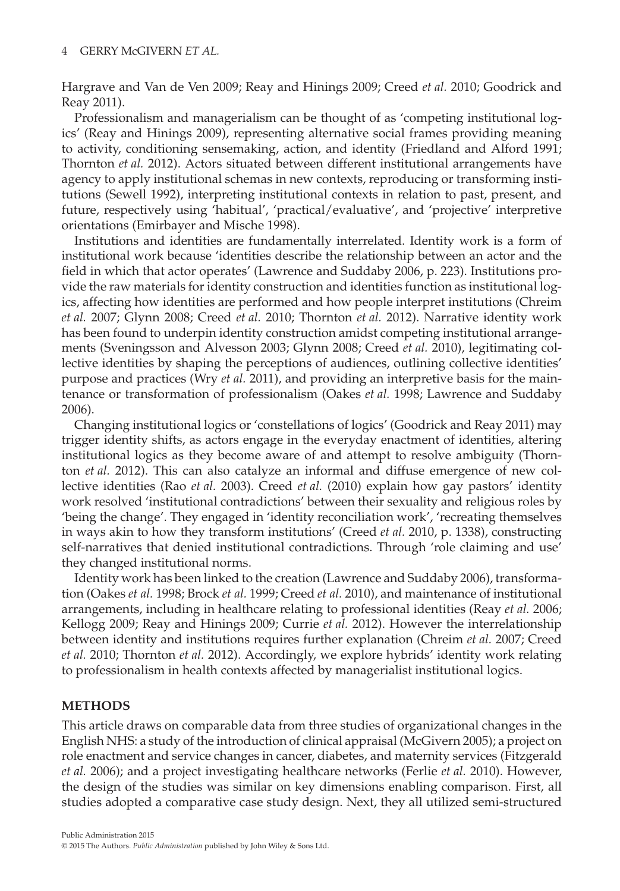Hargrave and Van de Ven 2009; Reay and Hinings 2009; Creed *et al.* 2010; Goodrick and Reay 2011).

Professionalism and managerialism can be thought of as 'competing institutional logics' (Reay and Hinings 2009), representing alternative social frames providing meaning to activity, conditioning sensemaking, action, and identity (Friedland and Alford 1991; Thornton *et al.* 2012). Actors situated between different institutional arrangements have agency to apply institutional schemas in new contexts, reproducing or transforming institutions (Sewell 1992), interpreting institutional contexts in relation to past, present, and future, respectively using 'habitual', 'practical/evaluative', and 'projective' interpretive orientations (Emirbayer and Mische 1998).

Institutions and identities are fundamentally interrelated. Identity work is a form of institutional work because 'identities describe the relationship between an actor and the field in which that actor operates' (Lawrence and Suddaby 2006, p. 223). Institutions provide the raw materials for identity construction and identities function as institutional logics, affecting how identities are performed and how people interpret institutions (Chreim *et al.* 2007; Glynn 2008; Creed *et al.* 2010; Thornton *et al.* 2012). Narrative identity work has been found to underpin identity construction amidst competing institutional arrangements (Sveningsson and Alvesson 2003; Glynn 2008; Creed *et al.* 2010), legitimating collective identities by shaping the perceptions of audiences, outlining collective identities' purpose and practices (Wry *et al.* 2011), and providing an interpretive basis for the maintenance or transformation of professionalism (Oakes *et al.* 1998; Lawrence and Suddaby 2006).

Changing institutional logics or 'constellations of logics' (Goodrick and Reay 2011) may trigger identity shifts, as actors engage in the everyday enactment of identities, altering institutional logics as they become aware of and attempt to resolve ambiguity (Thornton *et al.* 2012). This can also catalyze an informal and diffuse emergence of new collective identities (Rao *et al.* 2003). Creed *et al.* (2010) explain how gay pastors' identity work resolved 'institutional contradictions' between their sexuality and religious roles by 'being the change'. They engaged in 'identity reconciliation work', 'recreating themselves in ways akin to how they transform institutions' (Creed *et al.* 2010, p. 1338), constructing self-narratives that denied institutional contradictions. Through 'role claiming and use' they changed institutional norms.

Identity work has been linked to the creation (Lawrence and Suddaby 2006), transformation (Oakes *et al.* 1998; Brock *et al.* 1999; Creed *et al.* 2010), and maintenance of institutional arrangements, including in healthcare relating to professional identities (Reay *et al.* 2006; Kellogg 2009; Reay and Hinings 2009; Currie *et al.* 2012). However the interrelationship between identity and institutions requires further explanation (Chreim *et al.* 2007; Creed *et al.* 2010; Thornton *et al.* 2012). Accordingly, we explore hybrids' identity work relating to professionalism in health contexts affected by managerialist institutional logics.

#### **METHODS**

This article draws on comparable data from three studies of organizational changes in the English NHS: a study of the introduction of clinical appraisal (McGivern 2005); a project on role enactment and service changes in cancer, diabetes, and maternity services (Fitzgerald *et al.* 2006); and a project investigating healthcare networks (Ferlie *et al.* 2010). However, the design of the studies was similar on key dimensions enabling comparison. First, all studies adopted a comparative case study design. Next, they all utilized semi-structured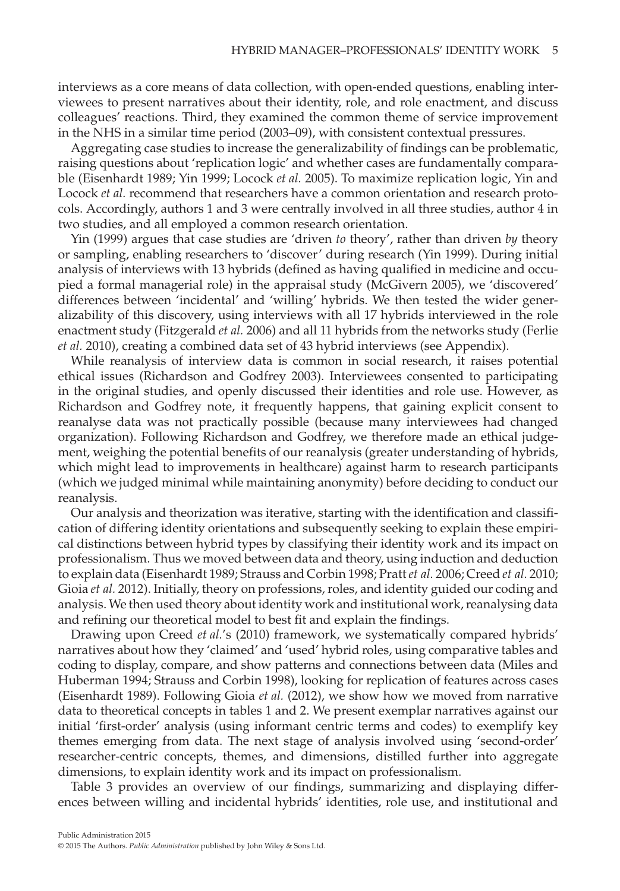interviews as a core means of data collection, with open-ended questions, enabling interviewees to present narratives about their identity, role, and role enactment, and discuss colleagues' reactions. Third, they examined the common theme of service improvement in the NHS in a similar time period (2003–09), with consistent contextual pressures.

Aggregating case studies to increase the generalizability of findings can be problematic, raising questions about 'replication logic' and whether cases are fundamentally comparable (Eisenhardt 1989; Yin 1999; Locock *et al.* 2005). To maximize replication logic, Yin and Locock *et al.* recommend that researchers have a common orientation and research protocols. Accordingly, authors 1 and 3 were centrally involved in all three studies, author 4 in two studies, and all employed a common research orientation.

Yin (1999) argues that case studies are 'driven *to* theory', rather than driven *by* theory or sampling, enabling researchers to 'discover' during research (Yin 1999). During initial analysis of interviews with 13 hybrids (defined as having qualified in medicine and occupied a formal managerial role) in the appraisal study (McGivern 2005), we 'discovered' differences between 'incidental' and 'willing' hybrids. We then tested the wider generalizability of this discovery, using interviews with all 17 hybrids interviewed in the role enactment study (Fitzgerald *et al.* 2006) and all 11 hybrids from the networks study (Ferlie *et al.* 2010), creating a combined data set of 43 hybrid interviews (see Appendix).

While reanalysis of interview data is common in social research, it raises potential ethical issues (Richardson and Godfrey 2003). Interviewees consented to participating in the original studies, and openly discussed their identities and role use. However, as Richardson and Godfrey note, it frequently happens, that gaining explicit consent to reanalyse data was not practically possible (because many interviewees had changed organization). Following Richardson and Godfrey, we therefore made an ethical judgement, weighing the potential benefits of our reanalysis (greater understanding of hybrids, which might lead to improvements in healthcare) against harm to research participants (which we judged minimal while maintaining anonymity) before deciding to conduct our reanalysis.

Our analysis and theorization was iterative, starting with the identification and classification of differing identity orientations and subsequently seeking to explain these empirical distinctions between hybrid types by classifying their identity work and its impact on professionalism. Thus we moved between data and theory, using induction and deduction to explain data (Eisenhardt 1989; Strauss and Corbin 1998; Pratt*et al.* 2006; Creed *et al.* 2010; Gioia *et al.* 2012). Initially, theory on professions, roles, and identity guided our coding and analysis. We then used theory about identity work and institutional work, reanalysing data and refining our theoretical model to best fit and explain the findings.

Drawing upon Creed *et al.*'s (2010) framework, we systematically compared hybrids' narratives about how they 'claimed' and 'used' hybrid roles, using comparative tables and coding to display, compare, and show patterns and connections between data (Miles and Huberman 1994; Strauss and Corbin 1998), looking for replication of features across cases (Eisenhardt 1989). Following Gioia *et al.* (2012), we show how we moved from narrative data to theoretical concepts in tables 1 and 2. We present exemplar narratives against our initial 'first-order' analysis (using informant centric terms and codes) to exemplify key themes emerging from data. The next stage of analysis involved using 'second-order' researcher-centric concepts, themes, and dimensions, distilled further into aggregate dimensions, to explain identity work and its impact on professionalism.

Table 3 provides an overview of our findings, summarizing and displaying differences between willing and incidental hybrids' identities, role use, and institutional and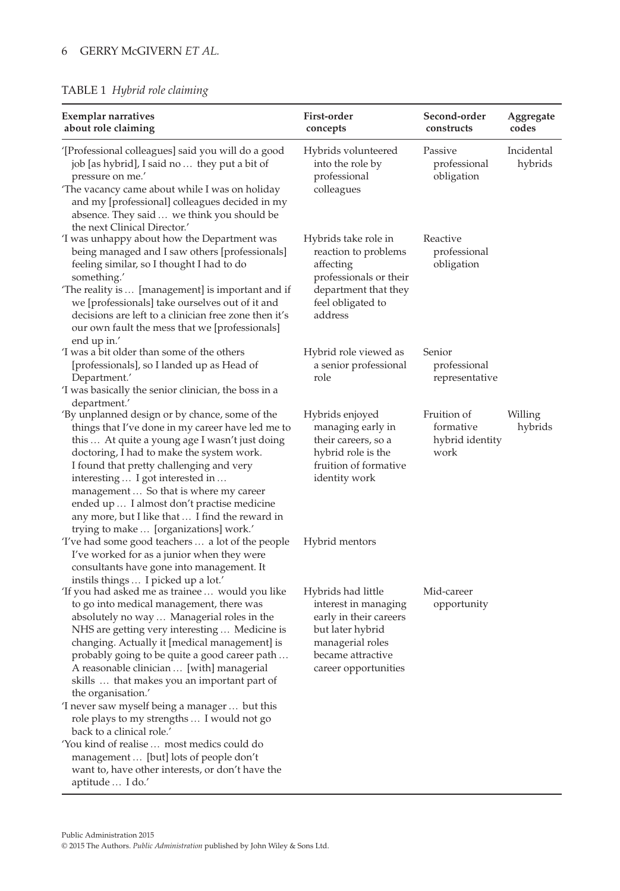### TABLE 1 *Hybrid role claiming*

| Exemplar narratives<br>about role claiming                                                                                                                                                                                                                                                                                                                                                                                                            | First-order<br>concepts                                                                                                                                   | Second-order<br>constructs               | Aggregate<br>codes    |
|-------------------------------------------------------------------------------------------------------------------------------------------------------------------------------------------------------------------------------------------------------------------------------------------------------------------------------------------------------------------------------------------------------------------------------------------------------|-----------------------------------------------------------------------------------------------------------------------------------------------------------|------------------------------------------|-----------------------|
| '[Professional colleagues] said you will do a good<br>job [as hybrid], I said no  they put a bit of<br>pressure on me.'                                                                                                                                                                                                                                                                                                                               | Hybrids volunteered<br>into the role by<br>professional                                                                                                   | Passive<br>professional<br>obligation    | Incidental<br>hybrids |
| The vacancy came about while I was on holiday<br>and my [professional] colleagues decided in my<br>absence. They said  we think you should be<br>the next Clinical Director.'                                                                                                                                                                                                                                                                         | colleagues                                                                                                                                                |                                          |                       |
| 'I was unhappy about how the Department was<br>being managed and I saw others [professionals]<br>feeling similar, so I thought I had to do<br>something.                                                                                                                                                                                                                                                                                              | Hybrids take role in<br>reaction to problems<br>affecting<br>professionals or their                                                                       | Reactive<br>professional<br>obligation   |                       |
| 'The reality is  [management] is important and if<br>we [professionals] take ourselves out of it and<br>decisions are left to a clinician free zone then it's<br>our own fault the mess that we [professionals]                                                                                                                                                                                                                                       | department that they<br>feel obligated to<br>address                                                                                                      |                                          |                       |
| end up in.'<br>I was a bit older than some of the others<br>[professionals], so I landed up as Head of<br>Department.'                                                                                                                                                                                                                                                                                                                                | Hybrid role viewed as<br>a senior professional<br>role                                                                                                    | Senior<br>professional<br>representative |                       |
| I was basically the senior clinician, the boss in a                                                                                                                                                                                                                                                                                                                                                                                                   |                                                                                                                                                           |                                          |                       |
| department.'<br>'By unplanned design or by chance, some of the                                                                                                                                                                                                                                                                                                                                                                                        | Hybrids enjoyed                                                                                                                                           | Fruition of                              | Willing               |
| things that I've done in my career have led me to<br>this  At quite a young age I wasn't just doing<br>doctoring, I had to make the system work.<br>I found that pretty challenging and very<br>interesting  I got interested in<br>management  So that is where my career<br>ended up  I almost don't practise medicine<br>any more, but I like that  I find the reward in<br>trying to make  [organizations] work.'                                 | managing early in<br>their careers, so a<br>hybrid role is the<br>fruition of formative<br>identity work                                                  | formative<br>hybrid identity<br>work     | hybrids               |
| 'I've had some good teachers  a lot of the people<br>I've worked for as a junior when they were<br>consultants have gone into management. It                                                                                                                                                                                                                                                                                                          | Hybrid mentors                                                                                                                                            |                                          |                       |
| instils things  I picked up a lot.'<br>'If you had asked me as trainee  would you like<br>to go into medical management, there was<br>absolutely no way  Managerial roles in the<br>NHS are getting very interesting  Medicine is<br>changing. Actually it [medical management] is<br>probably going to be quite a good career path<br>A reasonable clinician  [with] managerial<br>skills  that makes you an important part of<br>the organisation.' | Hybrids had little<br>interest in managing<br>early in their careers<br>but later hybrid<br>managerial roles<br>became attractive<br>career opportunities | Mid-career<br>opportunity                |                       |
| 'I never saw myself being a manager  but this<br>role plays to my strengths  I would not go<br>back to a clinical role.'                                                                                                                                                                                                                                                                                                                              |                                                                                                                                                           |                                          |                       |
| 'You kind of realise  most medics could do<br>management  [but] lots of people don't<br>want to, have other interests, or don't have the<br>aptitude  I do.'                                                                                                                                                                                                                                                                                          |                                                                                                                                                           |                                          |                       |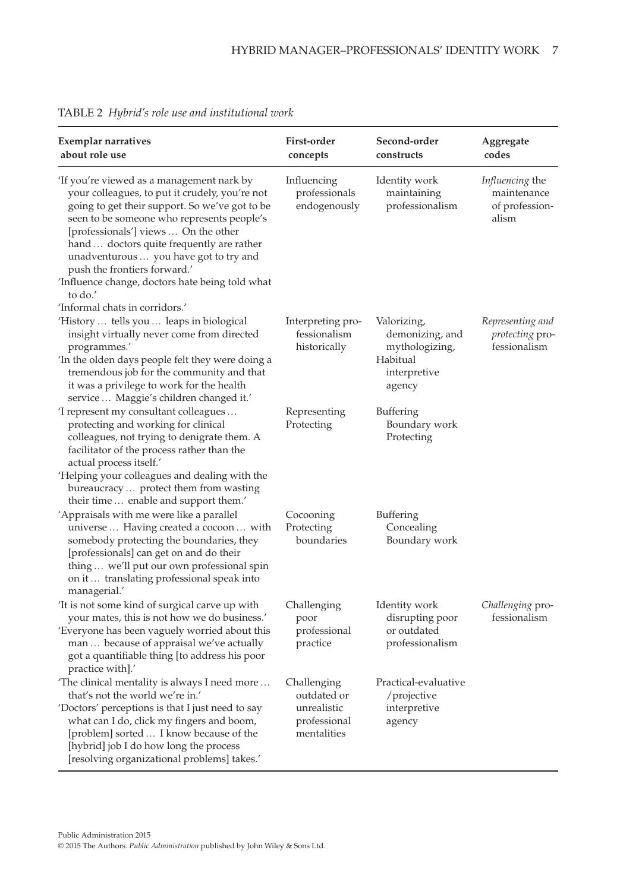| Exemplar narratives<br>about role use                                                                                                                                                                                                                                                                                                                                                                         | First-order<br>concepts                                                  | Second-order<br>constructs                                    | Aggregate<br>codes                                        |
|---------------------------------------------------------------------------------------------------------------------------------------------------------------------------------------------------------------------------------------------------------------------------------------------------------------------------------------------------------------------------------------------------------------|--------------------------------------------------------------------------|---------------------------------------------------------------|-----------------------------------------------------------|
| 'If you're viewed as a management nark by<br>your colleagues, to put it crudely, you're not<br>going to get their support. So we've got to be<br>seen to be someone who represents people's<br>[professionals'] views  On the other<br>hand  doctors quite frequently are rather<br>unadventurous  you have got to try and<br>push the frontiers forward.'<br>'Influence change, doctors hate being told what | Influencing<br>professionals<br>endogenously                             | Identity work<br>maintaining<br>professionalism               | Influencing the<br>maintenance<br>of profession-<br>alism |
| to do.'                                                                                                                                                                                                                                                                                                                                                                                                       |                                                                          |                                                               |                                                           |
| 'Informal chats in corridors.'                                                                                                                                                                                                                                                                                                                                                                                |                                                                          |                                                               |                                                           |
| 'History  tells you  leaps in biological<br>insight virtually never come from directed<br>programmes.'                                                                                                                                                                                                                                                                                                        | Interpreting pro-<br>fessionalism<br>historically                        | Valorizing,<br>demonizing, and<br>mythologizing,              | Representing and<br>protecting pro-<br>fessionalism       |
| In the olden days people felt they were doing a<br>tremendous job for the community and that<br>it was a privilege to work for the health<br>service  Maggie's children changed it.'                                                                                                                                                                                                                          |                                                                          | Habitual<br>interpretive<br>agency                            |                                                           |
| T represent my consultant colleagues<br>protecting and working for clinical<br>colleagues, not trying to denigrate them. A<br>facilitator of the process rather than the<br>actual process itself.'                                                                                                                                                                                                           | Representing<br>Protecting                                               | Buffering<br>Boundary work<br>Protecting                      |                                                           |
| 'Helping your colleagues and dealing with the<br>bureaucracy  protect them from wasting<br>their time  enable and support them.'                                                                                                                                                                                                                                                                              |                                                                          |                                                               |                                                           |
| 'Appraisals with me were like a parallel<br>universe  Having created a cocoon  with<br>somebody protecting the boundaries, they<br>[professionals] can get on and do their<br>thing we'll put our own professional spin<br>on it translating professional speak into<br>managerial.'                                                                                                                          | Cocooning<br>Protecting<br>boundaries                                    | Buffering<br>Concealing<br>Boundary work                      |                                                           |
| It is not some kind of surgical carve up with                                                                                                                                                                                                                                                                                                                                                                 | Challenging                                                              | Identity work                                                 | Challenging pro-                                          |
| your mates, this is not how we do business.'<br>'Everyone has been vaguely worried about this<br>man  because of appraisal we've actually<br>got a quantifiable thing [to address his poor<br>practice with].'                                                                                                                                                                                                | poor<br>professional<br>practice                                         | disrupting poor<br>or outdated<br>professionalism             | fessionalism                                              |
| The clinical mentality is always I need more<br>that's not the world we're in.'<br>'Doctors' perceptions is that I just need to say<br>what can I do, click my fingers and boom,<br>[problem] sorted  I know because of the<br>[hybrid] job I do how long the process<br>[resolving organizational problems] takes.'                                                                                          | Challenging<br>outdated or<br>unrealistic<br>professional<br>mentalities | Practical-evaluative<br>/projective<br>interpretive<br>agency |                                                           |

### TABLE 2 *Hybrid's role use and institutional work*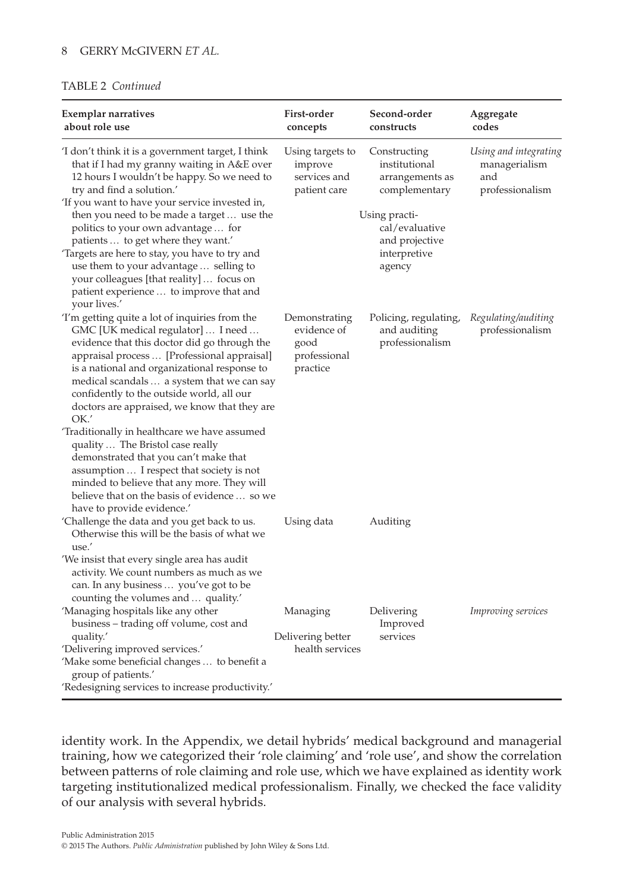#### 8 GERRY McGIVERN *ET AL.*

#### TABLE 2 *Continued*

| Exemplar narratives<br>about role use                                                                                                                                                                                                                                                                                                                                                                                                                                                                                                                                                                                                                         | First-order<br>concepts                                          | Second-order<br>constructs                                                                                                                       | Aggregate<br>codes                                               |
|---------------------------------------------------------------------------------------------------------------------------------------------------------------------------------------------------------------------------------------------------------------------------------------------------------------------------------------------------------------------------------------------------------------------------------------------------------------------------------------------------------------------------------------------------------------------------------------------------------------------------------------------------------------|------------------------------------------------------------------|--------------------------------------------------------------------------------------------------------------------------------------------------|------------------------------------------------------------------|
| 'I don't think it is a government target, I think<br>that if I had my granny waiting in A&E over<br>12 hours I wouldn't be happy. So we need to<br>try and find a solution.'<br>'If you want to have your service invested in,<br>then you need to be made a target use the<br>politics to your own advantage  for<br>patients  to get where they want.'<br>'Targets are here to stay, you have to try and<br>use them to your advantage  selling to<br>your colleagues [that reality]  focus on<br>patient experience  to improve that and<br>your lives.'                                                                                                   | Using targets to<br>improve<br>services and<br>patient care      | Constructing<br>institutional<br>arrangements as<br>complementary<br>Using practi-<br>cal/evaluative<br>and projective<br>interpretive<br>agency | Using and integrating<br>managerialism<br>and<br>professionalism |
| T'm getting quite a lot of inquiries from the<br>GMC [UK medical regulator]  I need<br>evidence that this doctor did go through the<br>appraisal process  [Professional appraisal]<br>is a national and organizational response to<br>medical scandals  a system that we can say<br>confidently to the outside world, all our<br>doctors are appraised, we know that they are<br>OK.'<br>'Traditionally in healthcare we have assumed<br>quality  The Bristol case really<br>demonstrated that you can't make that<br>assumption  I respect that society is not<br>minded to believe that any more. They will<br>believe that on the basis of evidence  so we | Demonstrating<br>evidence of<br>good<br>professional<br>practice | Policing, regulating,<br>and auditing<br>professionalism                                                                                         | Regulating/auditing<br>professionalism                           |
| have to provide evidence.'<br>'Challenge the data and you get back to us.<br>Otherwise this will be the basis of what we<br>use.'<br>'We insist that every single area has audit<br>activity. We count numbers as much as we<br>can. In any business  you've got to be                                                                                                                                                                                                                                                                                                                                                                                        | Using data                                                       | Auditing                                                                                                                                         |                                                                  |
| counting the volumes and  quality.'<br>'Managing hospitals like any other<br>business - trading off volume, cost and<br>quality.'<br>'Delivering improved services.'<br>'Make some beneficial changes  to benefit a<br>group of patients.'<br>'Redesigning services to increase productivity.'                                                                                                                                                                                                                                                                                                                                                                | Managing<br>Delivering better<br>health services                 | Delivering<br>Improved<br>services                                                                                                               | Improving services                                               |

identity work. In the Appendix, we detail hybrids' medical background and managerial training, how we categorized their 'role claiming' and 'role use', and show the correlation between patterns of role claiming and role use, which we have explained as identity work targeting institutionalized medical professionalism. Finally, we checked the face validity of our analysis with several hybrids.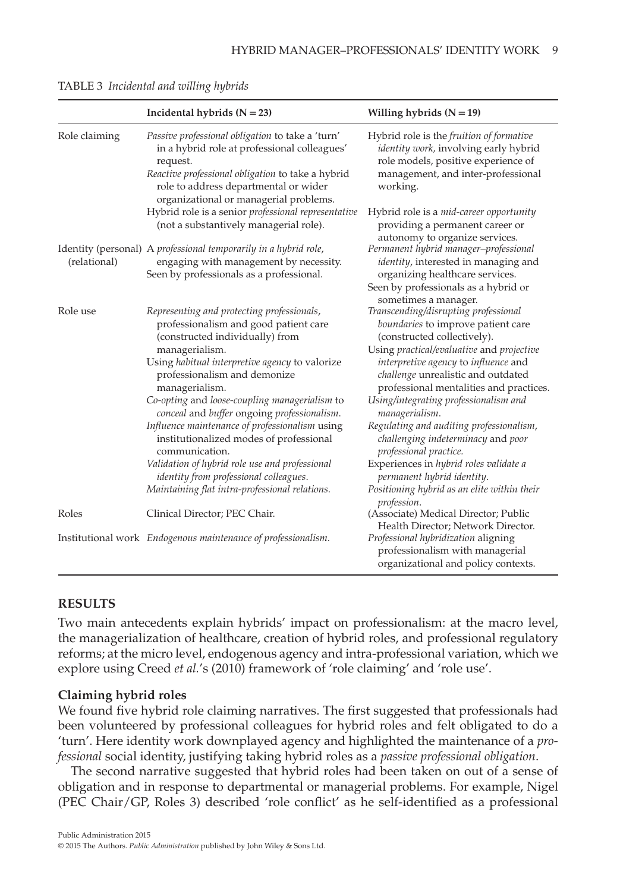|               | Incidental hybrids $(N = 23)$                                                                                                                                                                                                                        | Willing hybrids $(N = 19)$                                                                                                                                                         |
|---------------|------------------------------------------------------------------------------------------------------------------------------------------------------------------------------------------------------------------------------------------------------|------------------------------------------------------------------------------------------------------------------------------------------------------------------------------------|
| Role claiming | Passive professional obligation to take a 'turn'<br>in a hybrid role at professional colleagues'<br>request.<br>Reactive professional obligation to take a hybrid<br>role to address departmental or wider<br>organizational or managerial problems. | Hybrid role is the fruition of formative<br><i>identity work</i> , involving early hybrid<br>role models, positive experience of<br>management, and inter-professional<br>working. |
|               | Hybrid role is a senior professional representative<br>(not a substantively managerial role).                                                                                                                                                        | Hybrid role is a mid-career opportunity<br>providing a permanent career or<br>autonomy to organize services.                                                                       |
| (relational)  | Identity (personal) A professional temporarily in a hybrid role,<br>engaging with management by necessity.<br>Seen by professionals as a professional.                                                                                               | Permanent hybrid manager-professional<br>identity, interested in managing and<br>organizing healthcare services.<br>Seen by professionals as a hybrid or<br>sometimes a manager.   |
| Role use      | Representing and protecting professionals,<br>professionalism and good patient care<br>(constructed individually) from                                                                                                                               | Transcending/disrupting professional<br>boundaries to improve patient care<br>(constructed collectively).                                                                          |
|               | managerialism.<br>Using habitual interpretive agency to valorize<br>professionalism and demonize<br>managerialism.                                                                                                                                   | Using practical/evaluative and projective<br>interpretive agency to influence and<br>challenge unrealistic and outdated<br>professional mentalities and practices.                 |
|               | Co-opting and loose-coupling managerialism to<br>conceal and buffer ongoing professionalism.                                                                                                                                                         | Using/integrating professionalism and<br>managerialism.                                                                                                                            |
|               | Influence maintenance of professionalism using<br>institutionalized modes of professional<br>communication.                                                                                                                                          | Regulating and auditing professionalism,<br>challenging indeterminacy and poor<br>professional practice.                                                                           |
|               | Validation of hybrid role use and professional<br>identity from professional colleagues.                                                                                                                                                             | Experiences in hybrid roles validate a<br>permanent hybrid identity.                                                                                                               |
|               | Maintaining flat intra-professional relations.                                                                                                                                                                                                       | Positioning hybrid as an elite within their<br>profession.                                                                                                                         |
| Roles         | Clinical Director; PEC Chair.                                                                                                                                                                                                                        | (Associate) Medical Director; Public<br>Health Director; Network Director.                                                                                                         |
|               | Institutional work Endogenous maintenance of professionalism.                                                                                                                                                                                        | Professional hybridization aligning<br>professionalism with managerial<br>organizational and policy contexts.                                                                      |

TABLE 3 *Incidental and willing hybrids*

#### **RESULTS**

Two main antecedents explain hybrids' impact on professionalism: at the macro level, the managerialization of healthcare, creation of hybrid roles, and professional regulatory reforms; at the micro level, endogenous agency and intra-professional variation, which we explore using Creed *et al.*'s (2010) framework of 'role claiming' and 'role use'.

#### **Claiming hybrid roles**

We found five hybrid role claiming narratives. The first suggested that professionals had been volunteered by professional colleagues for hybrid roles and felt obligated to do a 'turn'. Here identity work downplayed agency and highlighted the maintenance of a *professional* social identity, justifying taking hybrid roles as a *passive professional obligation*.

The second narrative suggested that hybrid roles had been taken on out of a sense of obligation and in response to departmental or managerial problems. For example, Nigel (PEC Chair/GP, Roles 3) described 'role conflict' as he self-identified as a professional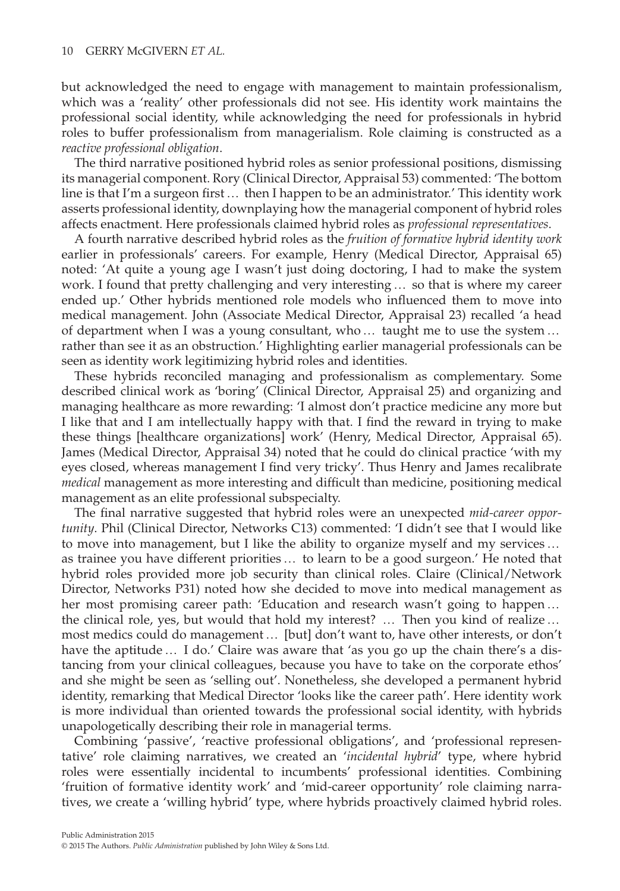but acknowledged the need to engage with management to maintain professionalism, which was a 'reality' other professionals did not see. His identity work maintains the professional social identity, while acknowledging the need for professionals in hybrid roles to buffer professionalism from managerialism. Role claiming is constructed as a *reactive professional obligation*.

The third narrative positioned hybrid roles as senior professional positions, dismissing its managerial component. Rory (Clinical Director, Appraisal 53) commented: 'The bottom line is that I'm a surgeon first… then I happen to be an administrator.' This identity work asserts professional identity, downplaying how the managerial component of hybrid roles affects enactment. Here professionals claimed hybrid roles as *professional representatives*.

A fourth narrative described hybrid roles as the *fruition of formative hybrid identity work* earlier in professionals' careers. For example, Henry (Medical Director, Appraisal 65) noted: 'At quite a young age I wasn't just doing doctoring, I had to make the system work. I found that pretty challenging and very interesting… so that is where my career ended up.' Other hybrids mentioned role models who influenced them to move into medical management. John (Associate Medical Director, Appraisal 23) recalled 'a head of department when I was a young consultant, who… taught me to use the system… rather than see it as an obstruction.' Highlighting earlier managerial professionals can be seen as identity work legitimizing hybrid roles and identities.

These hybrids reconciled managing and professionalism as complementary. Some described clinical work as 'boring' (Clinical Director, Appraisal 25) and organizing and managing healthcare as more rewarding: 'I almost don't practice medicine any more but I like that and I am intellectually happy with that. I find the reward in trying to make these things [healthcare organizations] work' (Henry, Medical Director, Appraisal 65). James (Medical Director, Appraisal 34) noted that he could do clinical practice 'with my eyes closed, whereas management I find very tricky'. Thus Henry and James recalibrate *medical* management as more interesting and difficult than medicine, positioning medical management as an elite professional subspecialty.

The final narrative suggested that hybrid roles were an unexpected *mid-career opportunity*. Phil (Clinical Director, Networks C13) commented: 'I didn't see that I would like to move into management, but I like the ability to organize myself and my services… as trainee you have different priorities… to learn to be a good surgeon.' He noted that hybrid roles provided more job security than clinical roles. Claire (Clinical/Network Director, Networks P31) noted how she decided to move into medical management as her most promising career path: 'Education and research wasn't going to happen… the clinical role, yes, but would that hold my interest? … Then you kind of realize… most medics could do management… [but] don't want to, have other interests, or don't have the aptitude ... I do.' Claire was aware that 'as you go up the chain there's a distancing from your clinical colleagues, because you have to take on the corporate ethos' and she might be seen as 'selling out'. Nonetheless, she developed a permanent hybrid identity, remarking that Medical Director 'looks like the career path'. Here identity work is more individual than oriented towards the professional social identity, with hybrids unapologetically describing their role in managerial terms.

Combining 'passive', 'reactive professional obligations', and 'professional representative' role claiming narratives, we created an '*incidental hybrid*' type, where hybrid roles were essentially incidental to incumbents' professional identities. Combining 'fruition of formative identity work' and 'mid-career opportunity' role claiming narratives, we create a 'willing hybrid' type, where hybrids proactively claimed hybrid roles.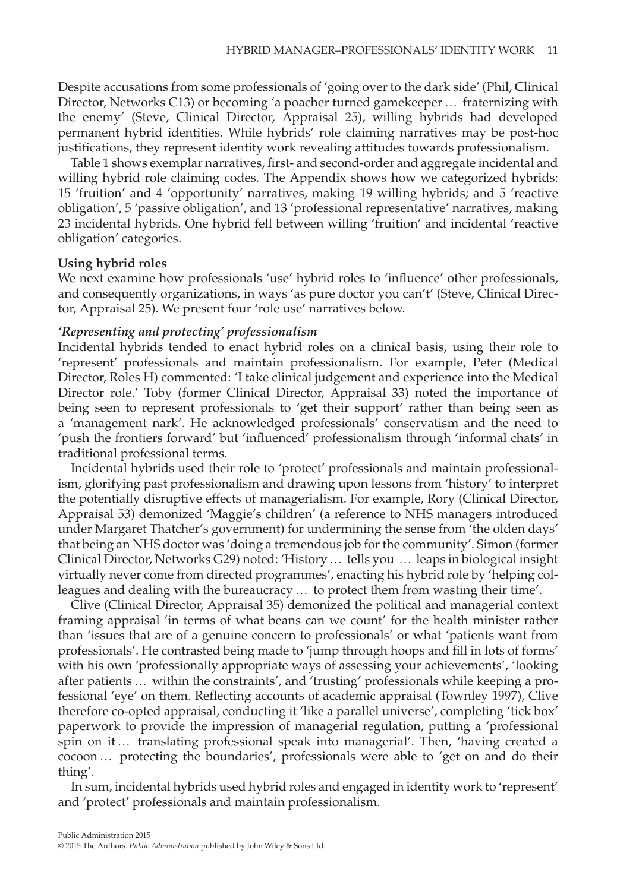Despite accusations from some professionals of 'going over to the dark side' (Phil, Clinical Director, Networks C13) or becoming 'a poacher turned gamekeeper… fraternizing with the enemy' (Steve, Clinical Director, Appraisal 25), willing hybrids had developed permanent hybrid identities. While hybrids' role claiming narratives may be post-hoc justifications, they represent identity work revealing attitudes towards professionalism.

Table 1 shows exemplar narratives, first- and second-order and aggregate incidental and willing hybrid role claiming codes. The Appendix shows how we categorized hybrids: 15 'fruition' and 4 'opportunity' narratives, making 19 willing hybrids; and 5 'reactive obligation', 5 'passive obligation', and 13 'professional representative' narratives, making 23 incidental hybrids. One hybrid fell between willing 'fruition' and incidental 'reactive obligation' categories.

#### **Using hybrid roles**

We next examine how professionals 'use' hybrid roles to 'influence' other professionals, and consequently organizations, in ways 'as pure doctor you can't' (Steve, Clinical Director, Appraisal 25). We present four 'role use' narratives below.

#### *'Representing and protecting' professionalism*

Incidental hybrids tended to enact hybrid roles on a clinical basis, using their role to 'represent' professionals and maintain professionalism. For example, Peter (Medical Director, Roles H) commented: 'I take clinical judgement and experience into the Medical Director role.' Toby (former Clinical Director, Appraisal 33) noted the importance of being seen to represent professionals to 'get their support' rather than being seen as a 'management nark'. He acknowledged professionals' conservatism and the need to 'push the frontiers forward' but 'influenced' professionalism through 'informal chats' in traditional professional terms.

Incidental hybrids used their role to 'protect' professionals and maintain professionalism, glorifying past professionalism and drawing upon lessons from 'history' to interpret the potentially disruptive effects of managerialism. For example, Rory (Clinical Director, Appraisal 53) demonized 'Maggie's children' (a reference to NHS managers introduced under Margaret Thatcher's government) for undermining the sense from 'the olden days' that being an NHS doctor was 'doing a tremendous job for the community'. Simon (former Clinical Director, Networks G29) noted: 'History … tells you … leaps in biological insight virtually never come from directed programmes', enacting his hybrid role by 'helping colleagues and dealing with the bureaucracy… to protect them from wasting their time'.

Clive (Clinical Director, Appraisal 35) demonized the political and managerial context framing appraisal 'in terms of what beans can we count' for the health minister rather than 'issues that are of a genuine concern to professionals' or what 'patients want from professionals'. He contrasted being made to 'jump through hoops and fill in lots of forms' with his own 'professionally appropriate ways of assessing your achievements', 'looking after patients… within the constraints', and 'trusting' professionals while keeping a professional 'eye' on them. Reflecting accounts of academic appraisal (Townley 1997), Clive therefore co-opted appraisal, conducting it 'like a parallel universe', completing 'tick box' paperwork to provide the impression of managerial regulation, putting a 'professional spin on it… translating professional speak into managerial'. Then, 'having created a cocoon… protecting the boundaries', professionals were able to 'get on and do their thing'.

In sum, incidental hybrids used hybrid roles and engaged in identity work to 'represent' and 'protect' professionals and maintain professionalism.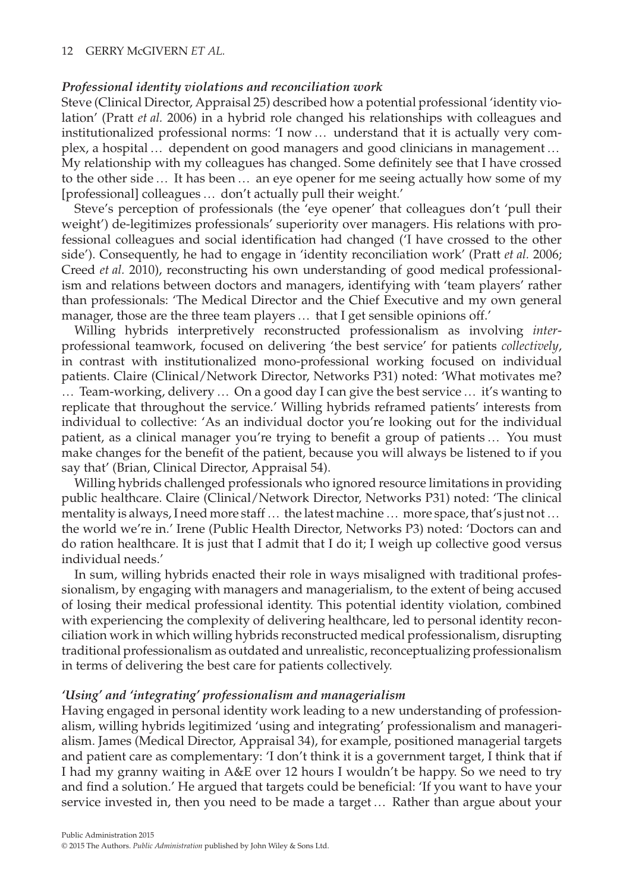#### *Professional identity violations and reconciliation work*

Steve (Clinical Director, Appraisal 25) described how a potential professional 'identity violation' (Pratt *et al.* 2006) in a hybrid role changed his relationships with colleagues and institutionalized professional norms: 'I now… understand that it is actually very complex, a hospital… dependent on good managers and good clinicians in management… My relationship with my colleagues has changed. Some definitely see that I have crossed to the other side… It has been… an eye opener for me seeing actually how some of my [professional] colleagues… don't actually pull their weight.'

Steve's perception of professionals (the 'eye opener' that colleagues don't 'pull their weight') de-legitimizes professionals' superiority over managers. His relations with professional colleagues and social identification had changed ('I have crossed to the other side'). Consequently, he had to engage in 'identity reconciliation work' (Pratt *et al.* 2006; Creed *et al.* 2010), reconstructing his own understanding of good medical professionalism and relations between doctors and managers, identifying with 'team players' rather than professionals: 'The Medical Director and the Chief Executive and my own general manager, those are the three team players… that I get sensible opinions off.'

Willing hybrids interpretively reconstructed professionalism as involving *inter*professional teamwork, focused on delivering 'the best service' for patients *collectively*, in contrast with institutionalized mono-professional working focused on individual patients. Claire (Clinical/Network Director, Networks P31) noted: 'What motivates me? … Team-working, delivery… On a good day I can give the best service… it's wanting to replicate that throughout the service.' Willing hybrids reframed patients' interests from individual to collective: 'As an individual doctor you're looking out for the individual patient, as a clinical manager you're trying to benefit a group of patients… You must make changes for the benefit of the patient, because you will always be listened to if you say that' (Brian, Clinical Director, Appraisal 54).

Willing hybrids challenged professionals who ignored resource limitations in providing public healthcare. Claire (Clinical/Network Director, Networks P31) noted: 'The clinical mentality is always, I need more staff… the latest machine… more space, that's just not … the world we're in.' Irene (Public Health Director, Networks P3) noted: 'Doctors can and do ration healthcare. It is just that I admit that I do it; I weigh up collective good versus individual needs.'

In sum, willing hybrids enacted their role in ways misaligned with traditional professionalism, by engaging with managers and managerialism, to the extent of being accused of losing their medical professional identity. This potential identity violation, combined with experiencing the complexity of delivering healthcare, led to personal identity reconciliation work in which willing hybrids reconstructed medical professionalism, disrupting traditional professionalism as outdated and unrealistic, reconceptualizing professionalism in terms of delivering the best care for patients collectively.

#### *'Using' and 'integrating' professionalism and managerialism*

Having engaged in personal identity work leading to a new understanding of professionalism, willing hybrids legitimized 'using and integrating' professionalism and managerialism. James (Medical Director, Appraisal 34), for example, positioned managerial targets and patient care as complementary: 'I don't think it is a government target, I think that if I had my granny waiting in A&E over 12 hours I wouldn't be happy. So we need to try and find a solution.' He argued that targets could be beneficial: 'If you want to have your service invested in, then you need to be made a target… Rather than argue about your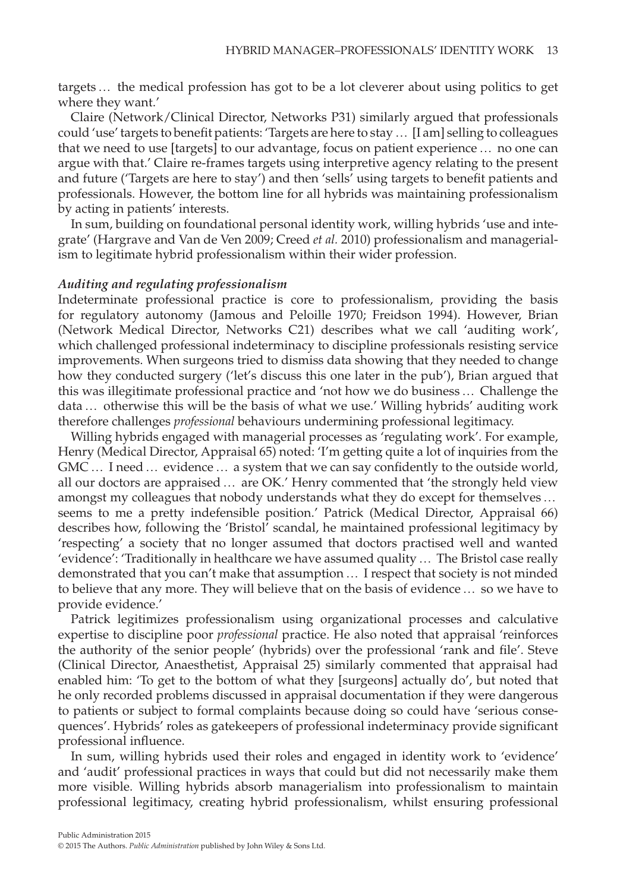targets… the medical profession has got to be a lot cleverer about using politics to get where they want.'

Claire (Network/Clinical Director, Networks P31) similarly argued that professionals could 'use' targets to benefit patients: 'Targets are here to stay… [I am] selling to colleagues that we need to use [targets] to our advantage, focus on patient experience… no one can argue with that.' Claire re-frames targets using interpretive agency relating to the present and future ('Targets are here to stay') and then 'sells' using targets to benefit patients and professionals. However, the bottom line for all hybrids was maintaining professionalism by acting in patients' interests.

In sum, building on foundational personal identity work, willing hybrids 'use and integrate' (Hargrave and Van de Ven 2009; Creed *et al.* 2010) professionalism and managerialism to legitimate hybrid professionalism within their wider profession.

#### *Auditing and regulating professionalism*

Indeterminate professional practice is core to professionalism, providing the basis for regulatory autonomy (Jamous and Peloille 1970; Freidson 1994). However, Brian (Network Medical Director, Networks C21) describes what we call 'auditing work', which challenged professional indeterminacy to discipline professionals resisting service improvements. When surgeons tried to dismiss data showing that they needed to change how they conducted surgery ('let's discuss this one later in the pub'), Brian argued that this was illegitimate professional practice and 'not how we do business… Challenge the data… otherwise this will be the basis of what we use.' Willing hybrids' auditing work therefore challenges *professional* behaviours undermining professional legitimacy.

Willing hybrids engaged with managerial processes as 'regulating work'. For example, Henry (Medical Director, Appraisal 65) noted: 'I'm getting quite a lot of inquiries from the GMC ... I need ... evidence ... a system that we can say confidently to the outside world, all our doctors are appraised… are OK.' Henry commented that 'the strongly held view amongst my colleagues that nobody understands what they do except for themselves … seems to me a pretty indefensible position.' Patrick (Medical Director, Appraisal 66) describes how, following the 'Bristol' scandal, he maintained professional legitimacy by 'respecting' a society that no longer assumed that doctors practised well and wanted 'evidence': 'Traditionally in healthcare we have assumed quality… The Bristol case really demonstrated that you can't make that assumption … I respect that society is not minded to believe that any more. They will believe that on the basis of evidence… so we have to provide evidence.'

Patrick legitimizes professionalism using organizational processes and calculative expertise to discipline poor *professional* practice. He also noted that appraisal 'reinforces the authority of the senior people' (hybrids) over the professional 'rank and file'. Steve (Clinical Director, Anaesthetist, Appraisal 25) similarly commented that appraisal had enabled him: 'To get to the bottom of what they [surgeons] actually do', but noted that he only recorded problems discussed in appraisal documentation if they were dangerous to patients or subject to formal complaints because doing so could have 'serious consequences'. Hybrids' roles as gatekeepers of professional indeterminacy provide significant professional influence.

In sum, willing hybrids used their roles and engaged in identity work to 'evidence' and 'audit' professional practices in ways that could but did not necessarily make them more visible. Willing hybrids absorb managerialism into professionalism to maintain professional legitimacy, creating hybrid professionalism, whilst ensuring professional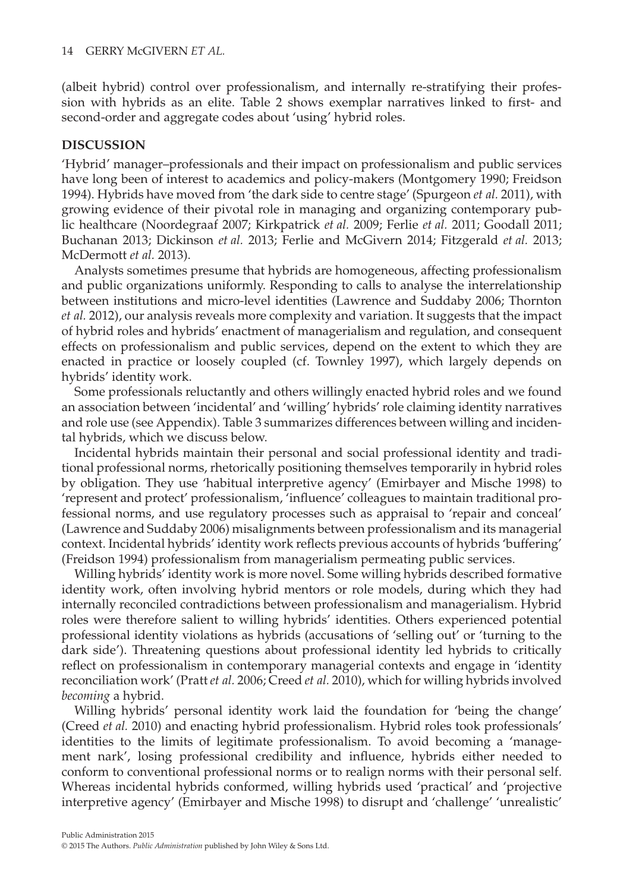(albeit hybrid) control over professionalism, and internally re-stratifying their profession with hybrids as an elite. Table 2 shows exemplar narratives linked to first- and second-order and aggregate codes about 'using' hybrid roles.

### **DISCUSSION**

'Hybrid' manager–professionals and their impact on professionalism and public services have long been of interest to academics and policy-makers (Montgomery 1990; Freidson 1994). Hybrids have moved from 'the dark side to centre stage' (Spurgeon *et al.* 2011), with growing evidence of their pivotal role in managing and organizing contemporary public healthcare (Noordegraaf 2007; Kirkpatrick *et al.* 2009; Ferlie *et al.* 2011; Goodall 2011; Buchanan 2013; Dickinson *et al.* 2013; Ferlie and McGivern 2014; Fitzgerald *et al.* 2013; McDermott *et al.* 2013).

Analysts sometimes presume that hybrids are homogeneous, affecting professionalism and public organizations uniformly. Responding to calls to analyse the interrelationship between institutions and micro-level identities (Lawrence and Suddaby 2006; Thornton *et al.* 2012), our analysis reveals more complexity and variation. It suggests that the impact of hybrid roles and hybrids' enactment of managerialism and regulation, and consequent effects on professionalism and public services, depend on the extent to which they are enacted in practice or loosely coupled (cf. Townley 1997), which largely depends on hybrids' identity work.

Some professionals reluctantly and others willingly enacted hybrid roles and we found an association between 'incidental' and 'willing' hybrids' role claiming identity narratives and role use (see Appendix). Table 3 summarizes differences between willing and incidental hybrids, which we discuss below.

Incidental hybrids maintain their personal and social professional identity and traditional professional norms, rhetorically positioning themselves temporarily in hybrid roles by obligation. They use 'habitual interpretive agency' (Emirbayer and Mische 1998) to 'represent and protect' professionalism, 'influence' colleagues to maintain traditional professional norms, and use regulatory processes such as appraisal to 'repair and conceal' (Lawrence and Suddaby 2006) misalignments between professionalism and its managerial context. Incidental hybrids' identity work reflects previous accounts of hybrids 'buffering' (Freidson 1994) professionalism from managerialism permeating public services.

Willing hybrids' identity work is more novel. Some willing hybrids described formative identity work, often involving hybrid mentors or role models, during which they had internally reconciled contradictions between professionalism and managerialism. Hybrid roles were therefore salient to willing hybrids' identities. Others experienced potential professional identity violations as hybrids (accusations of 'selling out' or 'turning to the dark side'). Threatening questions about professional identity led hybrids to critically reflect on professionalism in contemporary managerial contexts and engage in 'identity reconciliation work' (Pratt*et al.* 2006; Creed *et al.* 2010), which for willing hybrids involved *becoming* a hybrid.

Willing hybrids' personal identity work laid the foundation for 'being the change' (Creed *et al.* 2010) and enacting hybrid professionalism. Hybrid roles took professionals' identities to the limits of legitimate professionalism. To avoid becoming a 'management nark', losing professional credibility and influence, hybrids either needed to conform to conventional professional norms or to realign norms with their personal self. Whereas incidental hybrids conformed, willing hybrids used 'practical' and 'projective interpretive agency' (Emirbayer and Mische 1998) to disrupt and 'challenge' 'unrealistic'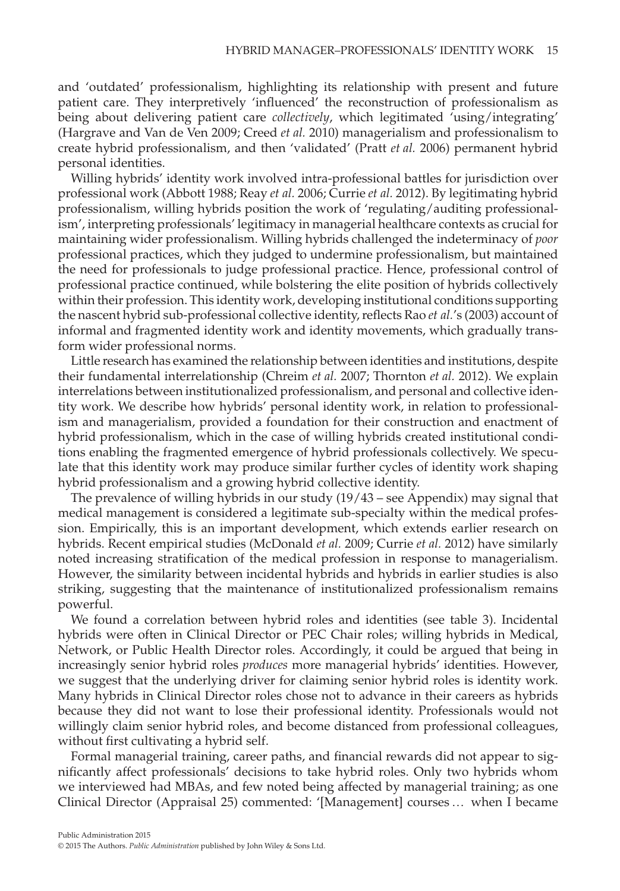and 'outdated' professionalism, highlighting its relationship with present and future patient care. They interpretively 'influenced' the reconstruction of professionalism as being about delivering patient care *collectively*, which legitimated 'using/integrating' (Hargrave and Van de Ven 2009; Creed *et al.* 2010) managerialism and professionalism to create hybrid professionalism, and then 'validated' (Pratt *et al.* 2006) permanent hybrid personal identities.

Willing hybrids' identity work involved intra-professional battles for jurisdiction over professional work (Abbott 1988; Reay *et al.* 2006; Currie *et al.* 2012). By legitimating hybrid professionalism, willing hybrids position the work of 'regulating/auditing professionalism', interpreting professionals' legitimacy in managerial healthcare contexts as crucial for maintaining wider professionalism. Willing hybrids challenged the indeterminacy of *poor* professional practices, which they judged to undermine professionalism, but maintained the need for professionals to judge professional practice. Hence, professional control of professional practice continued, while bolstering the elite position of hybrids collectively within their profession. This identity work, developing institutional conditions supporting the nascent hybrid sub-professional collective identity, reflects Rao *et al.*'s (2003) account of informal and fragmented identity work and identity movements, which gradually transform wider professional norms.

Little research has examined the relationship between identities and institutions, despite their fundamental interrelationship (Chreim *et al.* 2007; Thornton *et al.* 2012). We explain interrelations between institutionalized professionalism, and personal and collective identity work. We describe how hybrids' personal identity work, in relation to professionalism and managerialism, provided a foundation for their construction and enactment of hybrid professionalism, which in the case of willing hybrids created institutional conditions enabling the fragmented emergence of hybrid professionals collectively. We speculate that this identity work may produce similar further cycles of identity work shaping hybrid professionalism and a growing hybrid collective identity.

The prevalence of willing hybrids in our study (19/43 – see Appendix) may signal that medical management is considered a legitimate sub-specialty within the medical profession. Empirically, this is an important development, which extends earlier research on hybrids. Recent empirical studies (McDonald *et al.* 2009; Currie *et al.* 2012) have similarly noted increasing stratification of the medical profession in response to managerialism. However, the similarity between incidental hybrids and hybrids in earlier studies is also striking, suggesting that the maintenance of institutionalized professionalism remains powerful.

We found a correlation between hybrid roles and identities (see table 3). Incidental hybrids were often in Clinical Director or PEC Chair roles; willing hybrids in Medical, Network, or Public Health Director roles. Accordingly, it could be argued that being in increasingly senior hybrid roles *produces* more managerial hybrids' identities. However, we suggest that the underlying driver for claiming senior hybrid roles is identity work. Many hybrids in Clinical Director roles chose not to advance in their careers as hybrids because they did not want to lose their professional identity. Professionals would not willingly claim senior hybrid roles, and become distanced from professional colleagues, without first cultivating a hybrid self.

Formal managerial training, career paths, and financial rewards did not appear to significantly affect professionals' decisions to take hybrid roles. Only two hybrids whom we interviewed had MBAs, and few noted being affected by managerial training; as one Clinical Director (Appraisal 25) commented: '[Management] courses… when I became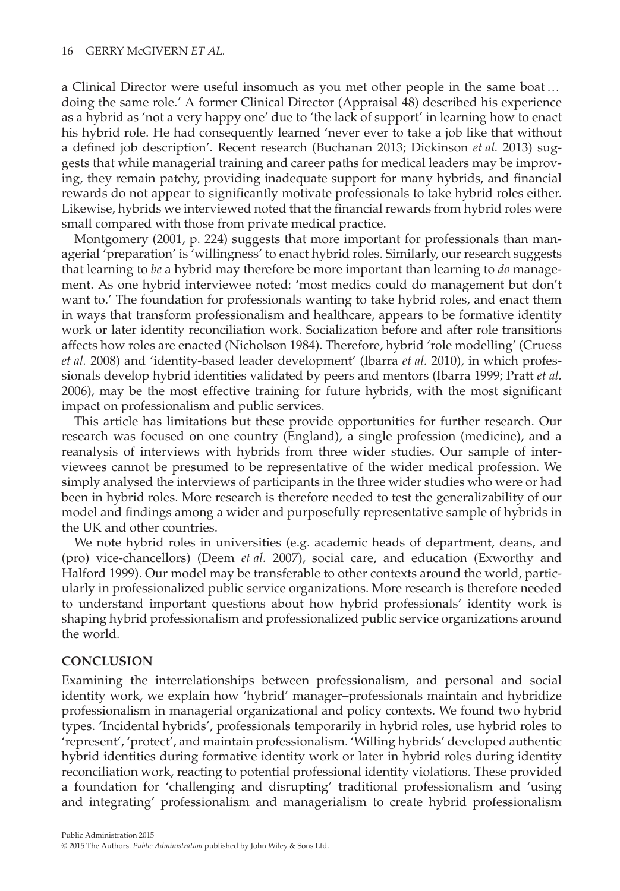a Clinical Director were useful insomuch as you met other people in the same boat … doing the same role.' A former Clinical Director (Appraisal 48) described his experience as a hybrid as 'not a very happy one' due to 'the lack of support' in learning how to enact his hybrid role. He had consequently learned 'never ever to take a job like that without a defined job description'. Recent research (Buchanan 2013; Dickinson *et al.* 2013) suggests that while managerial training and career paths for medical leaders may be improving, they remain patchy, providing inadequate support for many hybrids, and financial rewards do not appear to significantly motivate professionals to take hybrid roles either. Likewise, hybrids we interviewed noted that the financial rewards from hybrid roles were small compared with those from private medical practice.

Montgomery (2001, p. 224) suggests that more important for professionals than managerial 'preparation' is 'willingness' to enact hybrid roles. Similarly, our research suggests that learning to *be* a hybrid may therefore be more important than learning to *do* management. As one hybrid interviewee noted: 'most medics could do management but don't want to.' The foundation for professionals wanting to take hybrid roles, and enact them in ways that transform professionalism and healthcare, appears to be formative identity work or later identity reconciliation work. Socialization before and after role transitions affects how roles are enacted (Nicholson 1984). Therefore, hybrid 'role modelling' (Cruess *et al.* 2008) and 'identity-based leader development' (Ibarra *et al.* 2010), in which professionals develop hybrid identities validated by peers and mentors (Ibarra 1999; Pratt *et al.* 2006), may be the most effective training for future hybrids, with the most significant impact on professionalism and public services.

This article has limitations but these provide opportunities for further research. Our research was focused on one country (England), a single profession (medicine), and a reanalysis of interviews with hybrids from three wider studies. Our sample of interviewees cannot be presumed to be representative of the wider medical profession. We simply analysed the interviews of participants in the three wider studies who were or had been in hybrid roles. More research is therefore needed to test the generalizability of our model and findings among a wider and purposefully representative sample of hybrids in the UK and other countries.

We note hybrid roles in universities (e.g. academic heads of department, deans, and (pro) vice-chancellors) (Deem *et al.* 2007), social care, and education (Exworthy and Halford 1999). Our model may be transferable to other contexts around the world, particularly in professionalized public service organizations. More research is therefore needed to understand important questions about how hybrid professionals' identity work is shaping hybrid professionalism and professionalized public service organizations around the world.

### **CONCLUSION**

Examining the interrelationships between professionalism, and personal and social identity work, we explain how 'hybrid' manager–professionals maintain and hybridize professionalism in managerial organizational and policy contexts. We found two hybrid types. 'Incidental hybrids', professionals temporarily in hybrid roles, use hybrid roles to 'represent', 'protect', and maintain professionalism. 'Willing hybrids' developed authentic hybrid identities during formative identity work or later in hybrid roles during identity reconciliation work, reacting to potential professional identity violations. These provided a foundation for 'challenging and disrupting' traditional professionalism and 'using and integrating' professionalism and managerialism to create hybrid professionalism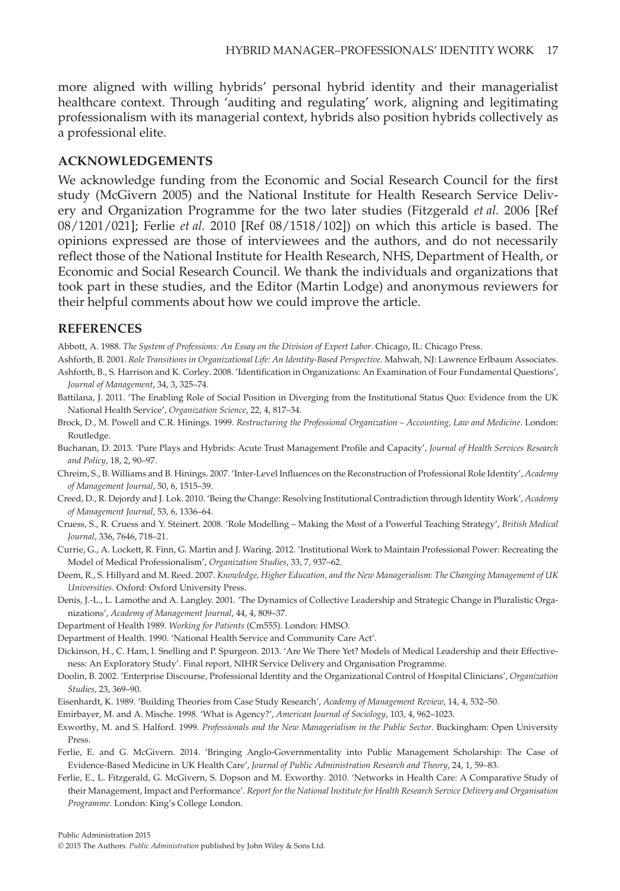more aligned with willing hybrids' personal hybrid identity and their managerialist healthcare context. Through 'auditing and regulating' work, aligning and legitimating professionalism with its managerial context, hybrids also position hybrids collectively as a professional elite.

#### **ACKNOWLEDGEMENTS**

We acknowledge funding from the Economic and Social Research Council for the first study (McGivern 2005) and the National Institute for Health Research Service Delivery and Organization Programme for the two later studies (Fitzgerald *et al.* 2006 [Ref 08/1201/021]; Ferlie *et al.* 2010 [Ref 08/1518/102]) on which this article is based. The opinions expressed are those of interviewees and the authors, and do not necessarily reflect those of the National Institute for Health Research, NHS, Department of Health, or Economic and Social Research Council. We thank the individuals and organizations that took part in these studies, and the Editor (Martin Lodge) and anonymous reviewers for their helpful comments about how we could improve the article.

#### **REFERENCES**

Abbott, A. 1988. *The System of Professions: An Essay on the Division of Expert Labor*. Chicago, IL: Chicago Press.

- Ashforth, B. 2001. *Role Transitions in Organizational Life: An Identity-Based Perspective*. Mahwah, NJ: Lawrence Erlbaum Associates. Ashforth, B., S. Harrison and K. Corley. 2008. 'Identification in Organizations: An Examination of Four Fundamental Questions', *Journal of Management*, 34, 3, 325–74.
- Battilana, J. 2011. 'The Enabling Role of Social Position in Diverging from the Institutional Status Quo: Evidence from the UK National Health Service', *Organization Science*, 22, 4, 817–34.
- Brock, D., M. Powell and C.R. Hinings. 1999. *Restructuring the Professional Organization Accounting, Law and Medicine*. London: Routledge.
- Buchanan, D. 2013. 'Pure Plays and Hybrids: Acute Trust Management Profile and Capacity', *Journal of Health Services Research and Policy*, 18, 2, 90–97.
- Chreim, S., B. Williams and B. Hinings. 2007. 'Inter-Level Influences on the Reconstruction of Professional Role Identity', *Academy of Management Journal*, 50, 6, 1515–39.
- Creed, D., R. Dejordy and J. Lok. 2010. 'Being the Change: Resolving Institutional Contradiction through Identity Work', *Academy of Management Journal*, 53, 6, 1336–64.
- Cruess, S., R. Cruess and Y. Steinert. 2008. 'Role Modelling Making the Most of a Powerful Teaching Strategy', *British Medical Journal*, 336, 7646, 718–21.
- Currie, G., A. Lockett, R. Finn, G. Martin and J. Waring. 2012. 'Institutional Work to Maintain Professional Power: Recreating the Model of Medical Professionalism', *Organization Studies*, 33, 7, 937–62.
- Deem, R., S. Hillyard and M. Reed. 2007. *Knowledge, Higher Education, and the New Managerialism: The Changing Management of UK Universities*. Oxford: Oxford University Press.
- Denis, J.-L., L. Lamothe and A. Langley. 2001. 'The Dynamics of Collective Leadership and Strategic Change in Pluralistic Organizations', *Academy of Management Journal*, 44, 4, 809–37.
- Department of Health 1989. *Working for Patients* (Cm555). London: HMSO.
- Department of Health. 1990. 'National Health Service and Community Care Act'.
- Dickinson, H., C. Ham, I. Snelling and P. Spurgeon. 2013. 'Are We There Yet? Models of Medical Leadership and their Effectiveness: An Exploratory Study'. Final report, NIHR Service Delivery and Organisation Programme.
- Doolin, B. 2002. 'Enterprise Discourse, Professional Identity and the Organizational Control of Hospital Clinicians', *Organization Studies*, 23, 369–90.
- Eisenhardt, K. 1989. 'Building Theories from Case Study Research', *Academy of Management Review*, 14, 4, 532–50.
- Emirbayer, M. and A. Mische. 1998. 'What is Agency?', *American Journal of Sociology*, 103, 4, 962–1023.
- Exworthy, M. and S. Halford. 1999. *Professionals and the New Managerialism in the Public Sector.* Buckingham: Open University Press.
- Ferlie, E. and G. McGivern. 2014. 'Bringing Anglo-Governmentality into Public Management Scholarship: The Case of Evidence-Based Medicine in UK Health Care', *Journal of Public Administration Research and Theory*, 24, 1, 59–83.
- Ferlie, E., L. Fitzgerald, G. McGivern, S. Dopson and M. Exworthy. 2010. 'Networks in Health Care: A Comparative Study of their Management, Impact and Performance'. *Report for the National Institute for Health Research Service Delivery and Organisation Programme*. London: King's College London.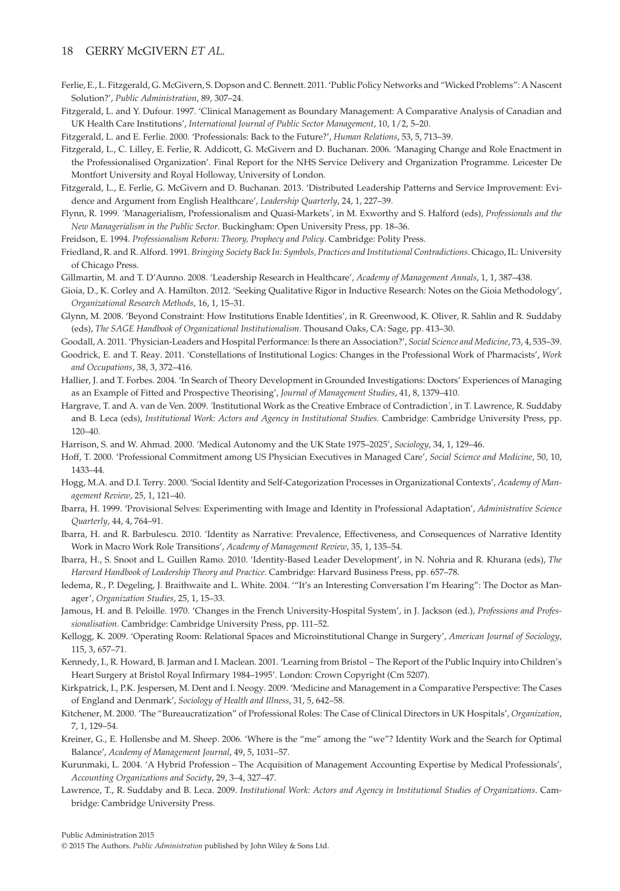#### 18 GERRY McGIVERN *ET AL.*

- Ferlie, E., L. Fitzgerald, G. McGivern, S. Dopson and C. Bennett. 2011. 'Public Policy Networks and "Wicked Problems": A Nascent Solution?', *Public Administration*, 89, 307–24.
- Fitzgerald, L. and Y. Dufour. 1997. 'Clinical Management as Boundary Management: A Comparative Analysis of Canadian and UK Health Care Institutions', *International Journal of Public Sector Management*, 10, 1/2, 5–20.

Fitzgerald, L. and E. Ferlie. 2000. 'Professionals: Back to the Future?', *Human Relations*, 53, 5, 713–39.

Fitzgerald, L., C. Lilley, E. Ferlie, R. Addicott, G. McGivern and D. Buchanan. 2006. 'Managing Change and Role Enactment in the Professionalised Organization'. Final Report for the NHS Service Delivery and Organization Programme. Leicester De Montfort University and Royal Holloway, University of London.

Fitzgerald, L., E. Ferlie, G. McGivern and D. Buchanan. 2013. 'Distributed Leadership Patterns and Service Improvement: Evidence and Argument from English Healthcare', *Leadership Quarterly*, 24, 1, 227–39.

- Flynn, R. 1999. *'*Managerialism, Professionalism and Quasi-Markets*'*, in M. Exworthy and S. Halford (eds), *Professionals and the New Managerialism in the Public Sector.* Buckingham: Open University Press, pp. 18–36.
- Freidson, E. 1994. *Professionalism Reborn: Theory, Prophecy and Policy*. Cambridge: Polity Press.

Friedland, R. and R. Alford. 1991. *Bringing Society Back In: Symbols, Practices and Institutional Contradictions*. Chicago, IL: University of Chicago Press.

- Gillmartin, M. and T. D'Aunno. 2008. 'Leadership Research in Healthcare', *Academy of Management Annals*, 1, 1, 387–438.
- Gioia, D., K. Corley and A. Hamilton. 2012. 'Seeking Qualitative Rigor in Inductive Research: Notes on the Gioia Methodology', *Organizational Research Methods*, 16, 1, 15–31.
- Glynn, M. 2008. 'Beyond Constraint: How Institutions Enable Identities', in R. Greenwood, K. Oliver, R. Sahlin and R. Suddaby (eds), *The SAGE Handbook of Organizational Institutionalism.* Thousand Oaks, CA: Sage, pp. 413–30.
- Goodall, A. 2011. 'Physician-Leaders and Hospital Performance: Is there an Association?', *Social Science and Medicine*, 73, 4, 535–39. Goodrick, E. and T. Reay. 2011. 'Constellations of Institutional Logics: Changes in the Professional Work of Pharmacists', *Work and Occupations*, 38, 3, 372–416.
- Hallier, J. and T. Forbes. 2004. 'In Search of Theory Development in Grounded Investigations: Doctors' Experiences of Managing as an Example of Fitted and Prospective Theorising', *Journal of Management Studies*, 41, 8, 1379–410.

Hargrave, T. and A. van de Ven. 2009. *'*Institutional Work as the Creative Embrace of Contradiction*'*, in T. Lawrence, R. Suddaby and B. Leca (eds), *Institutional Work: Actors and Agency in Institutional Studies.* Cambridge: Cambridge University Press, pp. 120–40.

- Harrison, S. and W. Ahmad. 2000. 'Medical Autonomy and the UK State 1975–2025', *Sociology*, 34, 1, 129–46.
- Hoff, T. 2000. 'Professional Commitment among US Physician Executives in Managed Care', *Social Science and Medicine*, 50, 10, 1433–44.
- Hogg, M.A. and D.I. Terry. 2000. 'Social Identity and Self-Categorization Processes in Organizational Contexts', *Academy of Management Review*, 25, 1, 121–40.
- Ibarra, H. 1999. 'Provisional Selves: Experimenting with Image and Identity in Professional Adaptation', *Administrative Science Quarterly*, 44, 4, 764–91.
- Ibarra, H. and R. Barbulescu. 2010. 'Identity as Narrative: Prevalence, Effectiveness, and Consequences of Narrative Identity Work in Macro Work Role Transitions', *Academy of Management Review*, 35, 1, 135–54.
- Ibarra, H., S. Snoot and L. Guillen Ramo. 2010. 'Identity-Based Leader Development', in N. Nohria and R. Khurana (eds), *The Harvard Handbook of Leadership Theory and Practice.* Cambridge: Harvard Business Press, pp. 657–78.
- Iedema, R., P. Degeling, J. Braithwaite and L. White. 2004. '"It's an Interesting Conversation I'm Hearing": The Doctor as Manager', *Organization Studies*, 25, 1, 15–33.
- Jamous, H. and B. Peloille. 1970. 'Changes in the French University-Hospital System', in J. Jackson (ed.), *Professions and Professionalisation.* Cambridge: Cambridge University Press, pp. 111–52.
- Kellogg, K. 2009. 'Operating Room: Relational Spaces and Microinstitutional Change in Surgery', *American Journal of Sociology*, 115, 3, 657–71.
- Kennedy, I., R. Howard, B. Jarman and I. Maclean. 2001. 'Learning from Bristol The Report of the Public Inquiry into Children's Heart Surgery at Bristol Royal Infirmary 1984–1995'. London: Crown Copyright (Cm 5207).
- Kirkpatrick, I., P.K. Jespersen, M. Dent and I. Neogy. 2009. 'Medicine and Management in a Comparative Perspective: The Cases of England and Denmark', *Sociology of Health and Illness*, 31, 5, 642–58.
- Kitchener, M. 2000. 'The "Bureaucratization" of Professional Roles: The Case of Clinical Directors in UK Hospitals', *Organization*, 7, 1, 129–54.
- Kreiner, G., E. Hollensbe and M. Sheep. 2006. 'Where is the "me" among the "we"? Identity Work and the Search for Optimal Balance', *Academy of Management Journal*, 49, 5, 1031–57.
- Kurunmaki, L. 2004. 'A Hybrid Profession The Acquisition of Management Accounting Expertise by Medical Professionals', *Accounting Organizations and Society*, 29, 3–4, 327–47.
- Lawrence, T., R. Suddaby and B. Leca. 2009. *Institutional Work: Actors and Agency in Institutional Studies of Organizations*. Cambridge: Cambridge University Press.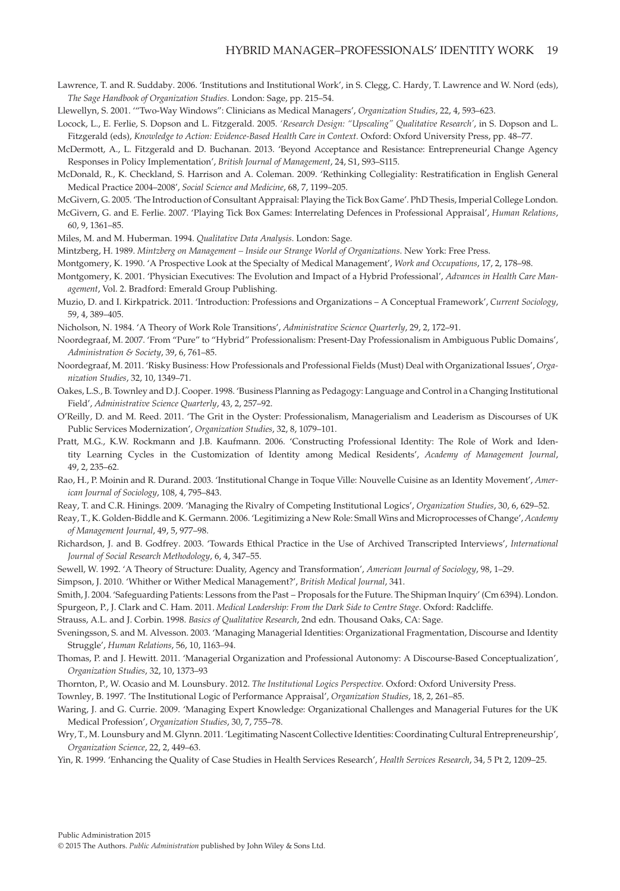Lawrence, T. and R. Suddaby. 2006. 'Institutions and Institutional Work', in S. Clegg, C. Hardy, T. Lawrence and W. Nord (eds), *The Sage Handbook of Organization Studies.* London: Sage, pp. 215–54.

Llewellyn, S. 2001. '"Two-Way Windows": Clinicians as Medical Managers', *Organization Studies*, 22, 4, 593–623.

Locock, L., E. Ferlie, S. Dopson and L. Fitzgerald. 2005. *'Research Design: "Upscaling" Qualitative Research'*, in S. Dopson and L. Fitzgerald (eds), *Knowledge to Action: Evidence-Based Health Care in Context.* Oxford: Oxford University Press, pp. 48–77.

McDermott, A., L. Fitzgerald and D. Buchanan. 2013. 'Beyond Acceptance and Resistance: Entrepreneurial Change Agency Responses in Policy Implementation', *British Journal of Management*, 24, S1, S93–S115.

McDonald, R., K. Checkland, S. Harrison and A. Coleman. 2009. 'Rethinking Collegiality: Restratification in English General Medical Practice 2004–2008', *Social Science and Medicine*, 68, 7, 1199–205.

McGivern, G. 2005. 'The Introduction of Consultant Appraisal: Playing the Tick Box Game'. PhD Thesis, Imperial College London.

McGivern, G. and E. Ferlie. 2007. 'Playing Tick Box Games: Interrelating Defences in Professional Appraisal', *Human Relations*, 60, 9, 1361–85.

Miles, M. and M. Huberman. 1994. *Qualitative Data Analysis*. London: Sage.

Mintzberg, H. 1989. *Mintzberg on Management – Inside our Strange World of Organizations*. New York: Free Press.

- Montgomery, K. 1990. 'A Prospective Look at the Specialty of Medical Management', *Work and Occupations*, 17, 2, 178–98.
- Montgomery, K. 2001. 'Physician Executives: The Evolution and Impact of a Hybrid Professional', *Advances in Health Care Management*, Vol. 2. Bradford: Emerald Group Publishing.
- Muzio, D. and I. Kirkpatrick. 2011. 'Introduction: Professions and Organizations A Conceptual Framework', *Current Sociology*, 59, 4, 389–405.

Nicholson, N. 1984. 'A Theory of Work Role Transitions', *Administrative Science Quarterly*, 29, 2, 172–91.

- Noordegraaf, M. 2007. 'From "Pure" to "Hybrid" Professionalism: Present-Day Professionalism in Ambiguous Public Domains', *Administration & Society*, 39, 6, 761–85.
- Noordegraaf, M. 2011. 'Risky Business: How Professionals and Professional Fields (Must) Deal with Organizational Issues', *Organization Studies*, 32, 10, 1349–71.
- Oakes, L.S., B. Townley and D.J. Cooper. 1998. 'Business Planning as Pedagogy: Language and Control in a Changing Institutional Field', *Administrative Science Quarterly*, 43, 2, 257–92.
- O'Reilly, D. and M. Reed. 2011. 'The Grit in the Oyster: Professionalism, Managerialism and Leaderism as Discourses of UK Public Services Modernization', *Organization Studies*, 32, 8, 1079–101.
- Pratt, M.G., K.W. Rockmann and J.B. Kaufmann. 2006. 'Constructing Professional Identity: The Role of Work and Identity Learning Cycles in the Customization of Identity among Medical Residents', *Academy of Management Journal*, 49, 2, 235–62.
- Rao, H., P. Moinin and R. Durand. 2003. 'Institutional Change in Toque Ville: Nouvelle Cuisine as an Identity Movement', *American Journal of Sociology*, 108, 4, 795–843.
- Reay, T. and C.R. Hinings. 2009. 'Managing the Rivalry of Competing Institutional Logics', *Organization Studies*, 30, 6, 629–52.
- Reay, T., K. Golden-Biddle and K. Germann. 2006. 'Legitimizing a New Role: Small Wins and Microprocesses of Change', *Academy of Management Journal*, 49, 5, 977–98.
- Richardson, J. and B. Godfrey. 2003. 'Towards Ethical Practice in the Use of Archived Transcripted Interviews', *International Journal of Social Research Methodology*, 6, 4, 347–55.
- Sewell, W. 1992. 'A Theory of Structure: Duality, Agency and Transformation', *American Journal of Sociology*, 98, 1–29.

Simpson, J. 2010. 'Whither or Wither Medical Management?', *British Medical Journal*, 341.

Smith, J. 2004. 'Safeguarding Patients: Lessons from the Past – Proposals for the Future. The Shipman Inquiry' (Cm 6394). London. Spurgeon, P., J. Clark and C. Ham. 2011. *Medical Leadership: From the Dark Side to Centre Stage*. Oxford: Radcliffe.

Strauss, A.L. and J. Corbin. 1998. *Basics of Qualitative Research*, 2nd edn. Thousand Oaks, CA: Sage.

Sveningsson, S. and M. Alvesson. 2003. 'Managing Managerial Identities: Organizational Fragmentation, Discourse and Identity Struggle', *Human Relations*, 56, 10, 1163–94.

- Thomas, P. and J. Hewitt. 2011. 'Managerial Organization and Professional Autonomy: A Discourse-Based Conceptualization', *Organization Studies*, 32, 10, 1373–93
- Thornton, P., W. Ocasio and M. Lounsbury. 2012. *The Institutional Logics Perspective*. Oxford: Oxford University Press.

Townley, B. 1997. 'The Institutional Logic of Performance Appraisal', *Organization Studies*, 18, 2, 261–85.

Waring, J. and G. Currie. 2009. 'Managing Expert Knowledge: Organizational Challenges and Managerial Futures for the UK Medical Profession', *Organization Studies*, 30, 7, 755–78.

- Wry, T., M. Lounsbury and M. Glynn. 2011. 'Legitimating Nascent Collective Identities: Coordinating Cultural Entrepreneurship', *Organization Science*, 22, 2, 449–63.
- Yin, R. 1999. 'Enhancing the Quality of Case Studies in Health Services Research', *Health Services Research*, 34, 5 Pt 2, 1209–25.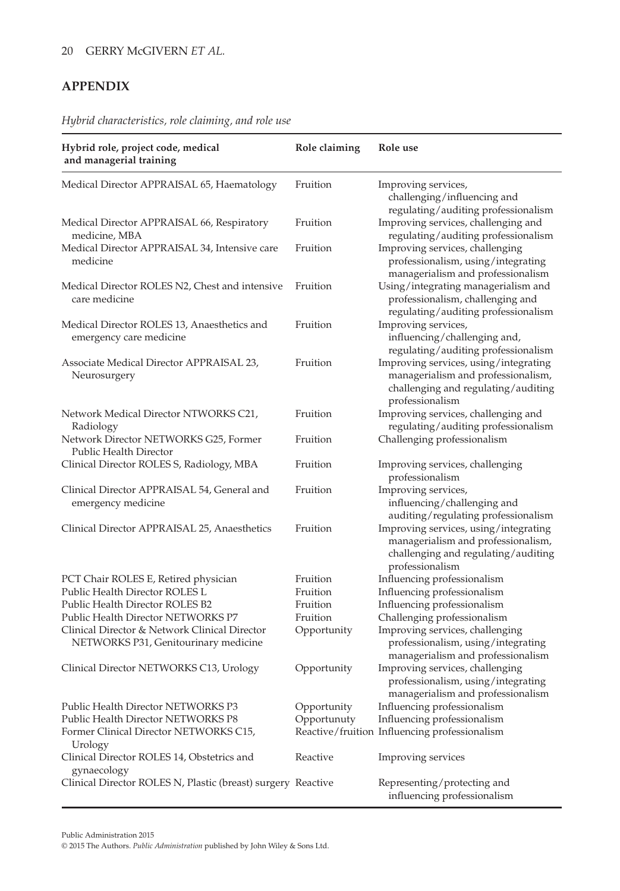# **APPENDIX**

*Hybrid characteristics, role claiming, and role use*

| Hybrid role, project code, medical<br>and managerial training                         | Role claiming | Role use                                                                                                                              |
|---------------------------------------------------------------------------------------|---------------|---------------------------------------------------------------------------------------------------------------------------------------|
| Medical Director APPRAISAL 65, Haematology                                            | Fruition      | Improving services,<br>challenging/influencing and                                                                                    |
| Medical Director APPRAISAL 66, Respiratory<br>medicine, MBA                           | Fruition      | regulating/auditing professionalism<br>Improving services, challenging and<br>regulating/auditing professionalism                     |
| Medical Director APPRAISAL 34, Intensive care<br>medicine                             | Fruition      | Improving services, challenging<br>professionalism, using/integrating<br>managerialism and professionalism                            |
| Medical Director ROLES N2, Chest and intensive<br>care medicine                       | Fruition      | Using/integrating managerialism and<br>professionalism, challenging and<br>regulating/auditing professionalism                        |
| Medical Director ROLES 13, Anaesthetics and<br>emergency care medicine                | Fruition      | Improving services,<br>influencing/challenging and,<br>regulating/auditing professionalism                                            |
| Associate Medical Director APPRAISAL 23,<br>Neurosurgery                              | Fruition      | Improving services, using/integrating<br>managerialism and professionalism,<br>challenging and regulating/auditing<br>professionalism |
| Network Medical Director NTWORKS C21,<br>Radiology                                    | Fruition      | Improving services, challenging and<br>regulating/auditing professionalism                                                            |
| Network Director NETWORKS G25, Former<br>Public Health Director                       | Fruition      | Challenging professionalism                                                                                                           |
| Clinical Director ROLES S, Radiology, MBA                                             | Fruition      | Improving services, challenging<br>professionalism                                                                                    |
| Clinical Director APPRAISAL 54, General and<br>emergency medicine                     | Fruition      | Improving services,<br>influencing/challenging and<br>auditing/regulating professionalism                                             |
| Clinical Director APPRAISAL 25, Anaesthetics                                          | Fruition      | Improving services, using/integrating<br>managerialism and professionalism,<br>challenging and regulating/auditing<br>professionalism |
| PCT Chair ROLES E, Retired physician                                                  | Fruition      | Influencing professionalism                                                                                                           |
| Public Health Director ROLES L                                                        | Fruition      | Influencing professionalism                                                                                                           |
| Public Health Director ROLES B2                                                       | Fruition      | Influencing professionalism                                                                                                           |
| Public Health Director NETWORKS P7                                                    | Fruition      | Challenging professionalism                                                                                                           |
| Clinical Director & Network Clinical Director<br>NETWORKS P31, Genitourinary medicine | Opportunity   | Improving services, challenging<br>professionalism, using/integrating<br>managerialism and professionalism                            |
| Clinical Director NETWORKS C13, Urology                                               | Opportunity   | Improving services, challenging<br>professionalism, using/integrating<br>managerialism and professionalism                            |
| Public Health Director NETWORKS P3                                                    | Opportunity   | Influencing professionalism                                                                                                           |
| Public Health Director NETWORKS P8                                                    | Opportunuty   | Influencing professionalism                                                                                                           |
| Former Clinical Director NETWORKS C15,<br>Urology                                     |               | Reactive/fruition Influencing professionalism                                                                                         |
| Clinical Director ROLES 14, Obstetrics and<br>gynaecology                             | Reactive      | Improving services                                                                                                                    |
| Clinical Director ROLES N, Plastic (breast) surgery Reactive                          |               | Representing/protecting and<br>influencing professionalism                                                                            |